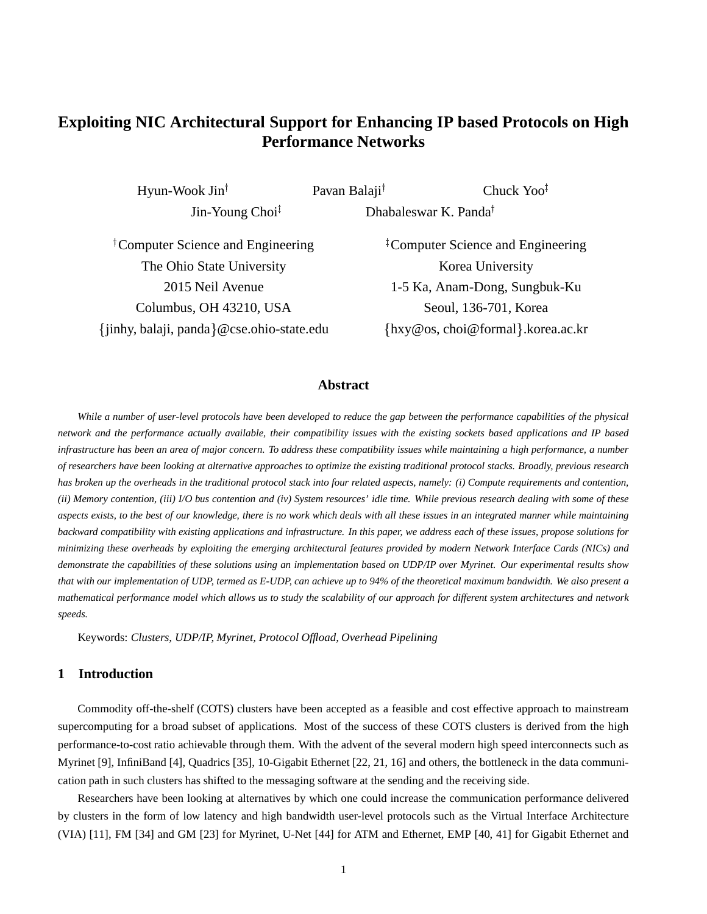# **Exploiting NIC Architectural Support for Enhancing IP based Protocols on High Performance Networks**

Hyun-Wook Jin Jin-Young Choi<sup>‡</sup> Pavan Balaji<sup>†</sup>

Chuck Yoo<sup>‡</sup>

Dhabaleswar K. Panda

<sup>†</sup>Computer Science and Engineering <sup>†</sup>Comp The Ohio State University **Korea University** Columbus, OH 43210, USA Seoul, 136-701, Korea - jinhy, balaji, panda @cse.ohio-state.edu -

Computer Science and Engineering 2015 Neil Avenue 1-5 Ka, Anam-Dong, Sungbuk-Ku hxy@os, choi@formal}.korea.ac.kr

## **Abstract**

While a number of user-level protocols have been developed to reduce the gap between the performance capabilities of the physical network and the performance actually available, their compatibility issues with the existing sockets based applications and IP based infrastructure has been an area of major concern. To address these compatibility issues while maintaining a high performance, a number of researchers have been looking at alternative approaches to optimize the existing traditional protocol stacks. Broadly, previous research has broken up the overheads in the traditional protocol stack into four related aspects, namely: (i) Compute requirements and contention, (ii) Memory contention, (iii) I/O bus contention and (iv) System resources' idle time. While previous research dealing with some of these aspects exists, to the best of our knowledge, there is no work which deals with all these issues in an integrated manner while maintaining backward compatibility with existing applications and infrastructure. In this paper, we address each of these issues, propose solutions for minimizing these overheads by exploiting the emerging architectural features provided by modern Network Interface Cards (NICs) and demonstrate the capabilities of these solutions using an implementation based on UDP/IP over Myrinet. Our experimental results show that with our implementation of UDP, termed as E-UDP, can achieve up to 94% of the theoretical maximum bandwidth. We also present a mathematical performance model which allows us to study the scalability of our approach for different system architectures and network *speeds.*

Keywords: *Clusters, UDP/IP, Myrinet, Protocol Offload, Overhead Pipelining*

# **1 Introduction**

Commodity off-the-shelf (COTS) clusters have been accepted as a feasible and cost effective approach to mainstream supercomputing for a broad subset of applications. Most of the success of these COTS clusters is derived from the high performance-to-cost ratio achievable through them. With the advent of the several modern high speed interconnects such as Myrinet [9], InfiniBand [4], Quadrics [35], 10-Gigabit Ethernet [22, 21, 16] and others, the bottleneck in the data communication path in such clusters has shifted to the messaging software at the sending and the receiving side.

Researchers have been looking at alternatives by which one could increase the communication performance delivered by clusters in the form of low latency and high bandwidth user-level protocols such as the Virtual Interface Architecture (VIA) [11], FM [34] and GM [23] for Myrinet, U-Net [44] for ATM and Ethernet, EMP [40, 41] for Gigabit Ethernet and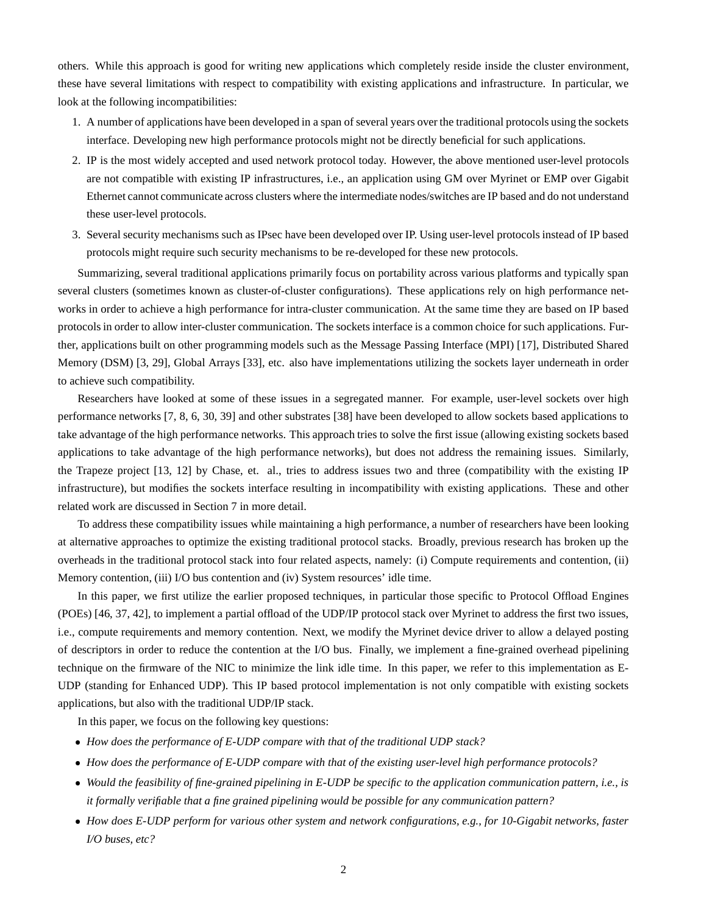others. While this approach is good for writing new applications which completely reside inside the cluster environment, these have several limitations with respect to compatibility with existing applications and infrastructure. In particular, we look at the following incompatibilities:

- 1. A number of applications have been developed in a span of several years over the traditional protocols using the sockets interface. Developing new high performance protocols might not be directly beneficial for such applications.
- 2. IP is the most widely accepted and used network protocol today. However, the above mentioned user-level protocols are not compatible with existing IP infrastructures, i.e., an application using GM over Myrinet or EMP over Gigabit Ethernet cannot communicate across clusters where the intermediate nodes/switches are IP based and do not understand these user-level protocols.
- 3. Several security mechanisms such as IPsec have been developed over IP. Using user-level protocols instead of IP based protocols might require such security mechanisms to be re-developed for these new protocols.

Summarizing, several traditional applications primarily focus on portability across various platforms and typically span several clusters (sometimes known as cluster-of-cluster configurations). These applications rely on high performance networks in order to achieve a high performance for intra-cluster communication. At the same time they are based on IP based protocols in order to allow inter-cluster communication. The sockets interface is a common choice for such applications. Further, applications built on other programming models such as the Message Passing Interface (MPI) [17], Distributed Shared Memory (DSM) [3, 29], Global Arrays [33], etc. also have implementations utilizing the sockets layer underneath in order to achieve such compatibility.

Researchers have looked at some of these issues in a segregated manner. For example, user-level sockets over high performance networks [7, 8, 6, 30, 39] and other substrates [38] have been developed to allow sockets based applications to take advantage of the high performance networks. This approach tries to solve the first issue (allowing existing sockets based applications to take advantage of the high performance networks), but does not address the remaining issues. Similarly, the Trapeze project [13, 12] by Chase, et. al., tries to address issues two and three (compatibility with the existing IP infrastructure), but modifies the sockets interface resulting in incompatibility with existing applications. These and other related work are discussed in Section 7 in more detail.

To address these compatibility issues while maintaining a high performance, a number of researchers have been looking at alternative approaches to optimize the existing traditional protocol stacks. Broadly, previous research has broken up the overheads in the traditional protocol stack into four related aspects, namely: (i) Compute requirements and contention, (ii) Memory contention, (iii) I/O bus contention and (iv) System resources' idle time.

In this paper, we first utilize the earlier proposed techniques, in particular those specific to Protocol Offload Engines (POEs) [46, 37, 42], to implement a partial offload of the UDP/IP protocol stack over Myrinet to address the first two issues, i.e., compute requirements and memory contention. Next, we modify the Myrinet device driver to allow a delayed posting of descriptors in order to reduce the contention at the I/O bus. Finally, we implement a fine-grained overhead pipelining technique on the firmware of the NIC to minimize the link idle time. In this paper, we refer to this implementation as E-UDP (standing for Enhanced UDP). This IP based protocol implementation is not only compatible with existing sockets applications, but also with the traditional UDP/IP stack.

In this paper, we focus on the following key questions:

- *How does the performance of E-UDP compare with that of the traditional UDP stack?*
- *How does the performance of E-UDP compare with that of the existing user-level high performance protocols?*
- Would the feasibility of fine-grained pipelining in E-UDP be specific to the application communication pattern, i.e., is *it formally verifiable that a fine grained pipelining would be possible for any communication pattern?*
- How does E-UDP perform for various other system and network configurations, e.g., for 10-Gigabit networks, faster *I/O buses, etc?*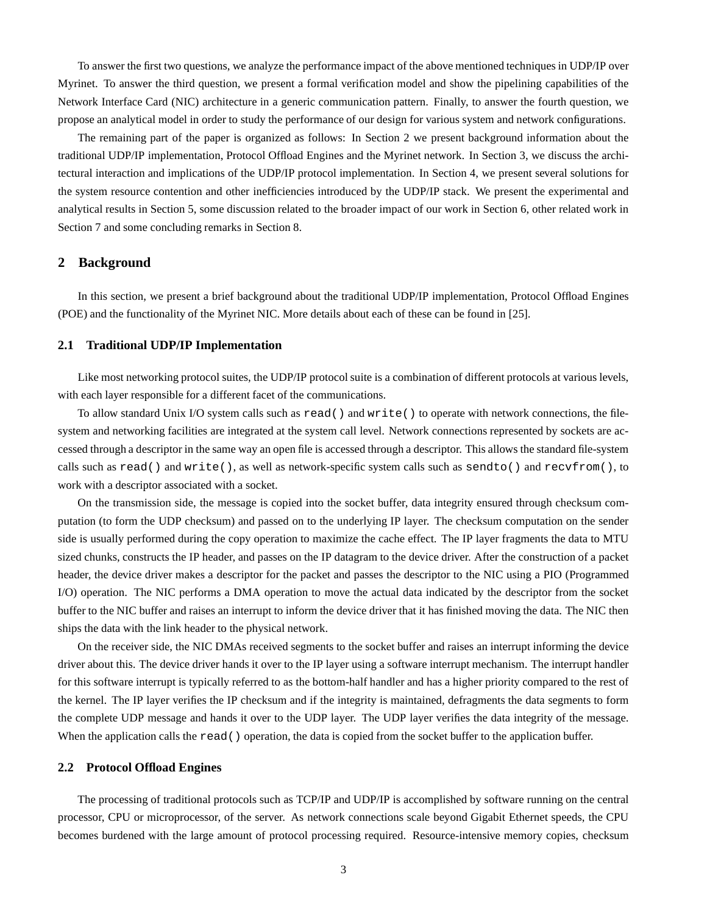To answer the first two questions, we analyze the performance impact of the above mentioned techniques in UDP/IP over Myrinet. To answer the third question, we present a formal verification model and show the pipelining capabilities of the Network Interface Card (NIC) architecture in a generic communication pattern. Finally, to answer the fourth question, we propose an analytical model in order to study the performance of our design for various system and network configurations.

The remaining part of the paper is organized as follows: In Section 2 we present background information about the traditional UDP/IP implementation, Protocol Offload Engines and the Myrinet network. In Section 3, we discuss the architectural interaction and implications of the UDP/IP protocol implementation. In Section 4, we present several solutions for the system resource contention and other inefficiencies introduced by the UDP/IP stack. We present the experimental and analytical results in Section 5, some discussion related to the broader impact of our work in Section 6, other related work in Section 7 and some concluding remarks in Section 8.

## **2 Background**

In this section, we present a brief background about the traditional UDP/IP implementation, Protocol Offload Engines (POE) and the functionality of the Myrinet NIC. More details about each of these can be found in [25].

#### **2.1 Traditional UDP/IP Implementation**

Like most networking protocol suites, the UDP/IP protocol suite is a combination of different protocols at various levels, with each layer responsible for a different facet of the communications.

To allow standard Unix I/O system calls such as read() and write() to operate with network connections, the filesystem and networking facilities are integrated at the system call level. Network connections represented by sockets are accessed through a descriptor in the same way an open file is accessed through a descriptor. This allows the standard file-system calls such as read() and write(), as well as network-specific system calls such as sendto() and recvfrom(), to work with a descriptor associated with a socket.

On the transmission side, the message is copied into the socket buffer, data integrity ensured through checksum computation (to form the UDP checksum) and passed on to the underlying IP layer. The checksum computation on the sender side is usually performed during the copy operation to maximize the cache effect. The IP layer fragments the data to MTU sized chunks, constructs the IP header, and passes on the IP datagram to the device driver. After the construction of a packet header, the device driver makes a descriptor for the packet and passes the descriptor to the NIC using a PIO (Programmed I/O) operation. The NIC performs a DMA operation to move the actual data indicated by the descriptor from the socket buffer to the NIC buffer and raises an interrupt to inform the device driver that it has finished moving the data. The NIC then ships the data with the link header to the physical network.

On the receiver side, the NIC DMAs received segments to the socket buffer and raises an interrupt informing the device driver about this. The device driver hands it over to the IP layer using a software interrupt mechanism. The interrupt handler for this software interrupt is typically referred to as the bottom-half handler and has a higher priority compared to the rest of the kernel. The IP layer verifies the IP checksum and if the integrity is maintained, defragments the data segments to form the complete UDP message and hands it over to the UDP layer. The UDP layer verifies the data integrity of the message. When the application calls the read () operation, the data is copied from the socket buffer to the application buffer.

## **2.2 Protocol Offload Engines**

The processing of traditional protocols such as TCP/IP and UDP/IP is accomplished by software running on the central processor, CPU or microprocessor, of the server. As network connections scale beyond Gigabit Ethernet speeds, the CPU becomes burdened with the large amount of protocol processing required. Resource-intensive memory copies, checksum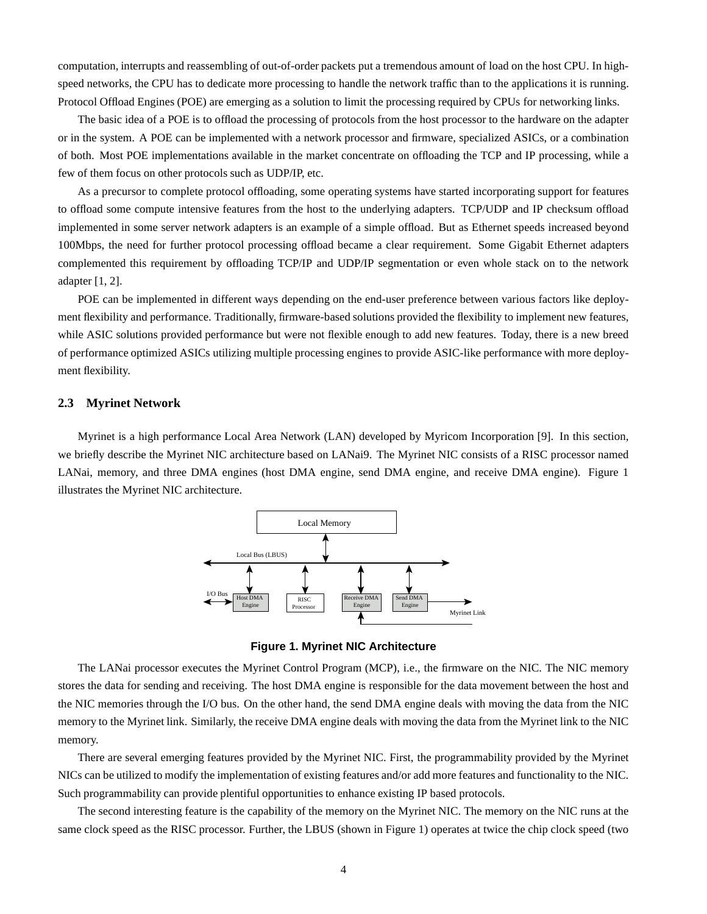computation, interrupts and reassembling of out-of-order packets put a tremendous amount of load on the host CPU. In highspeed networks, the CPU has to dedicate more processing to handle the network traffic than to the applications it is running. Protocol Offload Engines (POE) are emerging as a solution to limit the processing required by CPUs for networking links.

The basic idea of a POE is to offload the processing of protocols from the host processor to the hardware on the adapter or in the system. A POE can be implemented with a network processor and firmware, specialized ASICs, or a combination of both. Most POE implementations available in the market concentrate on offloading the TCP and IP processing, while a few of them focus on other protocols such as UDP/IP, etc.

As a precursor to complete protocol offloading, some operating systems have started incorporating support for features to offload some compute intensive features from the host to the underlying adapters. TCP/UDP and IP checksum offload implemented in some server network adapters is an example of a simple offload. But as Ethernet speeds increased beyond 100Mbps, the need for further protocol processing offload became a clear requirement. Some Gigabit Ethernet adapters complemented this requirement by offloading TCP/IP and UDP/IP segmentation or even whole stack on to the network adapter [1, 2].

POE can be implemented in different ways depending on the end-user preference between various factors like deployment flexibility and performance. Traditionally, firmware-based solutions provided the flexibility to implement new features, while ASIC solutions provided performance but were not flexible enough to add new features. Today, there is a new breed of performance optimized ASICs utilizing multiple processing engines to provide ASIC-like performance with more deployment flexibility.

#### **2.3 Myrinet Network**

Myrinet is a high performance Local Area Network (LAN) developed by Myricom Incorporation [9]. In this section, we briefly describe the Myrinet NIC architecture based on LANai9. The Myrinet NIC consists of a RISC processor named LANai, memory, and three DMA engines (host DMA engine, send DMA engine, and receive DMA engine). Figure 1 illustrates the Myrinet NIC architecture.



**Figure 1. Myrinet NIC Architecture**

The LANai processor executes the Myrinet Control Program (MCP), i.e., the firmware on the NIC. The NIC memory stores the data for sending and receiving. The host DMA engine is responsible for the data movement between the host and the NIC memories through the I/O bus. On the other hand, the send DMA engine deals with moving the data from the NIC memory to the Myrinet link. Similarly, the receive DMA engine deals with moving the data from the Myrinet link to the NIC memory.

There are several emerging features provided by the Myrinet NIC. First, the programmability provided by the Myrinet NICs can be utilized to modify the implementation of existing features and/or add more features and functionality to the NIC. Such programmability can provide plentiful opportunities to enhance existing IP based protocols.

The second interesting feature is the capability of the memory on the Myrinet NIC. The memory on the NIC runs at the same clock speed as the RISC processor. Further, the LBUS (shown in Figure 1) operates at twice the chip clock speed (two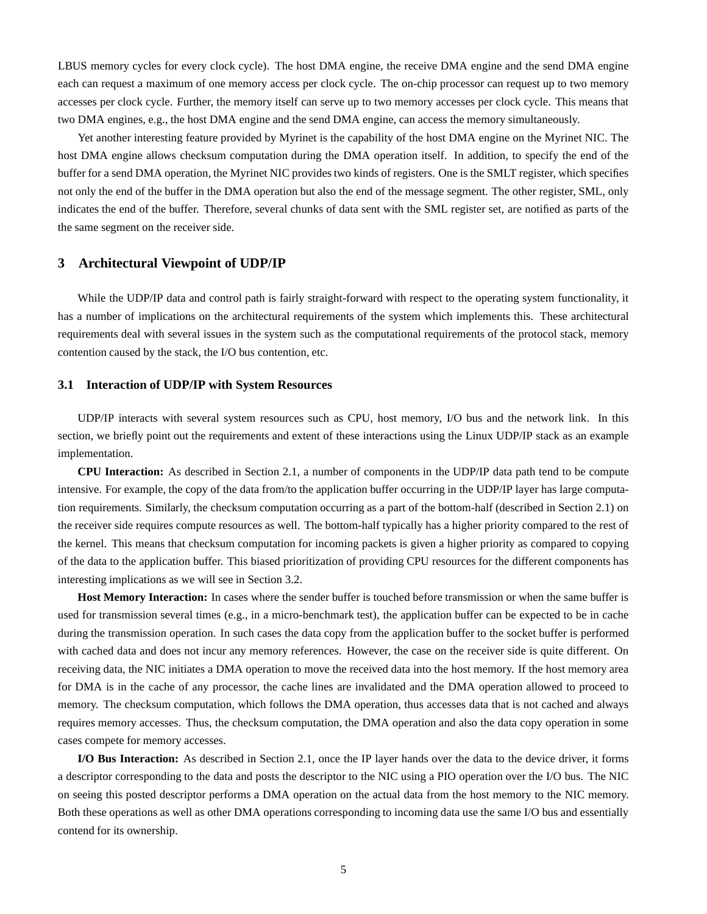LBUS memory cycles for every clock cycle). The host DMA engine, the receive DMA engine and the send DMA engine each can request a maximum of one memory access per clock cycle. The on-chip processor can request up to two memory accesses per clock cycle. Further, the memory itself can serve up to two memory accesses per clock cycle. This means that two DMA engines, e.g., the host DMA engine and the send DMA engine, can access the memory simultaneously.

Yet another interesting feature provided by Myrinet is the capability of the host DMA engine on the Myrinet NIC. The host DMA engine allows checksum computation during the DMA operation itself. In addition, to specify the end of the buffer for a send DMA operation, the Myrinet NIC provides two kinds of registers. One is the SMLT register, which specifies not only the end of the buffer in the DMA operation but also the end of the message segment. The other register, SML, only indicates the end of the buffer. Therefore, several chunks of data sent with the SML register set, are notified as parts of the the same segment on the receiver side.

## **3 Architectural Viewpoint of UDP/IP**

While the UDP/IP data and control path is fairly straight-forward with respect to the operating system functionality, it has a number of implications on the architectural requirements of the system which implements this. These architectural requirements deal with several issues in the system such as the computational requirements of the protocol stack, memory contention caused by the stack, the I/O bus contention, etc.

#### **3.1 Interaction of UDP/IP with System Resources**

UDP/IP interacts with several system resources such as CPU, host memory, I/O bus and the network link. In this section, we briefly point out the requirements and extent of these interactions using the Linux UDP/IP stack as an example implementation.

**CPU Interaction:** As described in Section 2.1, a number of components in the UDP/IP data path tend to be compute intensive. For example, the copy of the data from/to the application buffer occurring in the UDP/IP layer has large computation requirements. Similarly, the checksum computation occurring as a part of the bottom-half (described in Section 2.1) on the receiver side requires compute resources as well. The bottom-half typically has a higher priority compared to the rest of the kernel. This means that checksum computation for incoming packets is given a higher priority as compared to copying of the data to the application buffer. This biased prioritization of providing CPU resources for the different components has interesting implications as we will see in Section 3.2.

**Host Memory Interaction:** In cases where the sender buffer is touched before transmission or when the same buffer is used for transmission several times (e.g., in a micro-benchmark test), the application buffer can be expected to be in cache during the transmission operation. In such cases the data copy from the application buffer to the socket buffer is performed with cached data and does not incur any memory references. However, the case on the receiver side is quite different. On receiving data, the NIC initiates a DMA operation to move the received data into the host memory. If the host memory area for DMA is in the cache of any processor, the cache lines are invalidated and the DMA operation allowed to proceed to memory. The checksum computation, which follows the DMA operation, thus accesses data that is not cached and always requires memory accesses. Thus, the checksum computation, the DMA operation and also the data copy operation in some cases compete for memory accesses.

**I/O Bus Interaction:** As described in Section 2.1, once the IP layer hands over the data to the device driver, it forms a descriptor corresponding to the data and posts the descriptor to the NIC using a PIO operation over the I/O bus. The NIC on seeing this posted descriptor performs a DMA operation on the actual data from the host memory to the NIC memory. Both these operations as well as other DMA operations corresponding to incoming data use the same I/O bus and essentially contend for its ownership.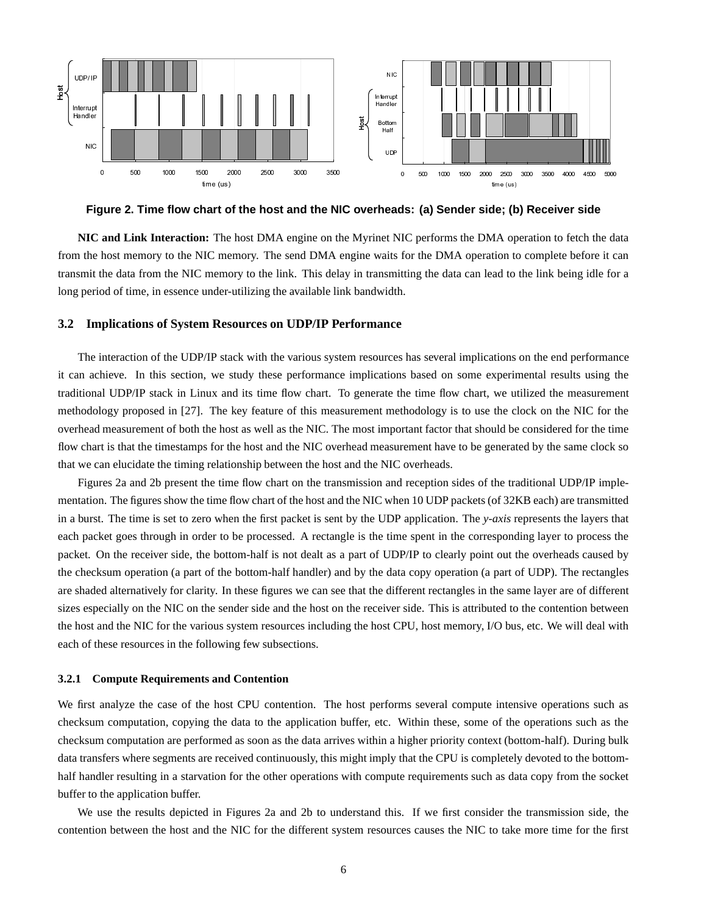

**Figure 2. Time flow chart of the host and the NIC overheads: (a) Sender side; (b) Receiver side**

**NIC and Link Interaction:** The host DMA engine on the Myrinet NIC performs the DMA operation to fetch the data from the host memory to the NIC memory. The send DMA engine waits for the DMA operation to complete before it can transmit the data from the NIC memory to the link. This delay in transmitting the data can lead to the link being idle for a long period of time, in essence under-utilizing the available link bandwidth.

## **3.2 Implications of System Resources on UDP/IP Performance**

The interaction of the UDP/IP stack with the various system resources has several implications on the end performance it can achieve. In this section, we study these performance implications based on some experimental results using the traditional UDP/IP stack in Linux and its time flow chart. To generate the time flow chart, we utilized the measurement methodology proposed in [27]. The key feature of this measurement methodology is to use the clock on the NIC for the overhead measurement of both the host as well as the NIC. The most important factor that should be considered for the time flow chart is that the timestamps for the host and the NIC overhead measurement have to be generated by the same clock so that we can elucidate the timing relationship between the host and the NIC overheads.

Figures 2a and 2b present the time flow chart on the transmission and reception sides of the traditional UDP/IP implementation. The figures show the time flow chart of the host and the NIC when 10 UDP packets (of 32KB each) are transmitted in a burst. The time is set to zero when the first packet is sent by the UDP application. The *y-axis* represents the layers that each packet goes through in order to be processed. A rectangle is the time spent in the corresponding layer to process the packet. On the receiver side, the bottom-half is not dealt as a part of UDP/IP to clearly point out the overheads caused by the checksum operation (a part of the bottom-half handler) and by the data copy operation (a part of UDP). The rectangles are shaded alternatively for clarity. In these figures we can see that the different rectangles in the same layer are of different sizes especially on the NIC on the sender side and the host on the receiver side. This is attributed to the contention between the host and the NIC for the various system resources including the host CPU, host memory, I/O bus, etc. We will deal with each of these resources in the following few subsections.

#### **3.2.1 Compute Requirements and Contention**

We first analyze the case of the host CPU contention. The host performs several compute intensive operations such as checksum computation, copying the data to the application buffer, etc. Within these, some of the operations such as the checksum computation are performed as soon as the data arrives within a higher priority context (bottom-half). During bulk data transfers where segments are received continuously, this might imply that the CPU is completely devoted to the bottomhalf handler resulting in a starvation for the other operations with compute requirements such as data copy from the socket buffer to the application buffer.

We use the results depicted in Figures 2a and 2b to understand this. If we first consider the transmission side, the contention between the host and the NIC for the different system resources causes the NIC to take more time for the first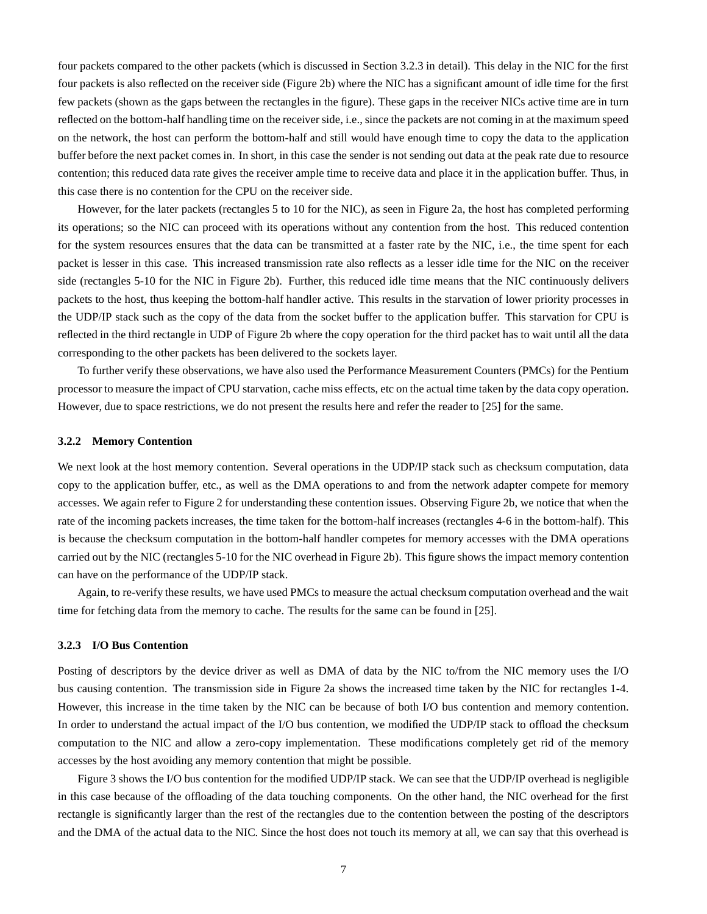four packets compared to the other packets (which is discussed in Section 3.2.3 in detail). This delay in the NIC for the first four packets is also reflected on the receiver side (Figure 2b) where the NIC has a significant amount of idle time for the first few packets (shown as the gaps between the rectangles in the figure). These gaps in the receiver NICs active time are in turn reflected on the bottom-half handling time on the receiver side, i.e., since the packets are not coming in at the maximum speed on the network, the host can perform the bottom-half and still would have enough time to copy the data to the application buffer before the next packet comes in. In short, in this case the sender is not sending out data at the peak rate due to resource contention; this reduced data rate gives the receiver ample time to receive data and place it in the application buffer. Thus, in this case there is no contention for the CPU on the receiver side.

However, for the later packets (rectangles 5 to 10 for the NIC), as seen in Figure 2a, the host has completed performing its operations; so the NIC can proceed with its operations without any contention from the host. This reduced contention for the system resources ensures that the data can be transmitted at a faster rate by the NIC, i.e., the time spent for each packet is lesser in this case. This increased transmission rate also reflects as a lesser idle time for the NIC on the receiver side (rectangles 5-10 for the NIC in Figure 2b). Further, this reduced idle time means that the NIC continuously delivers packets to the host, thus keeping the bottom-half handler active. This results in the starvation of lower priority processes in the UDP/IP stack such as the copy of the data from the socket buffer to the application buffer. This starvation for CPU is reflected in the third rectangle in UDP of Figure 2b where the copy operation for the third packet has to wait until all the data corresponding to the other packets has been delivered to the sockets layer.

To further verify these observations, we have also used the Performance Measurement Counters (PMCs) for the Pentium processor to measure the impact of CPU starvation, cache miss effects, etc on the actual time taken by the data copy operation. However, due to space restrictions, we do not present the results here and refer the reader to [25] for the same.

#### **3.2.2 Memory Contention**

We next look at the host memory contention. Several operations in the UDP/IP stack such as checksum computation, data copy to the application buffer, etc., as well as the DMA operations to and from the network adapter compete for memory accesses. We again refer to Figure 2 for understanding these contention issues. Observing Figure 2b, we notice that when the rate of the incoming packets increases, the time taken for the bottom-half increases (rectangles 4-6 in the bottom-half). This is because the checksum computation in the bottom-half handler competes for memory accesses with the DMA operations carried out by the NIC (rectangles 5-10 for the NIC overhead in Figure 2b). This figure shows the impact memory contention can have on the performance of the UDP/IP stack.

Again, to re-verify these results, we have used PMCs to measure the actual checksum computation overhead and the wait time for fetching data from the memory to cache. The results for the same can be found in [25].

#### **3.2.3 I/O Bus Contention**

Posting of descriptors by the device driver as well as DMA of data by the NIC to/from the NIC memory uses the I/O bus causing contention. The transmission side in Figure 2a shows the increased time taken by the NIC for rectangles 1-4. However, this increase in the time taken by the NIC can be because of both I/O bus contention and memory contention. In order to understand the actual impact of the I/O bus contention, we modified the UDP/IP stack to offload the checksum computation to the NIC and allow a zero-copy implementation. These modifications completely get rid of the memory accesses by the host avoiding any memory contention that might be possible.

Figure 3 shows the I/O bus contention for the modified UDP/IP stack. We can see that the UDP/IP overhead is negligible in this case because of the offloading of the data touching components. On the other hand, the NIC overhead for the first rectangle is significantly larger than the rest of the rectangles due to the contention between the posting of the descriptors and the DMA of the actual data to the NIC. Since the host does not touch its memory at all, we can say that this overhead is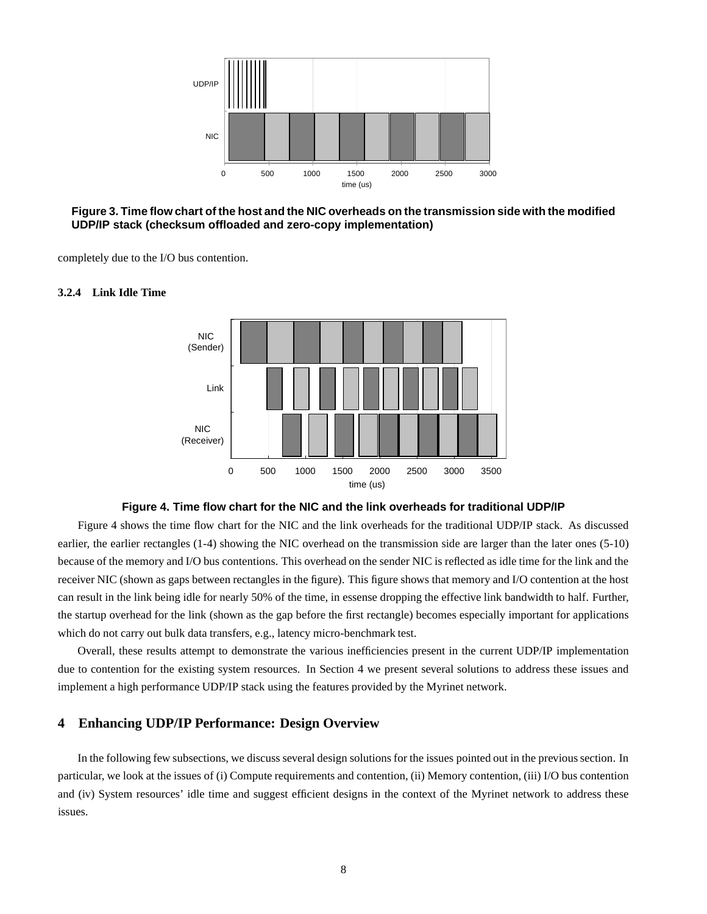

## Figure 3. Time flow chart of the host and the NIC overheads on the transmission side with the modified **UDP/IP stack (checksum offloaded and zero-copy implementation)**

completely due to the I/O bus contention.

## **3.2.4 Link Idle Time**



#### **Figure 4. Time flow chart for the NIC and the link overheads for traditional UDP/IP**

Figure 4 shows the time flow chart for the NIC and the link overheads for the traditional UDP/IP stack. As discussed earlier, the earlier rectangles (1-4) showing the NIC overhead on the transmission side are larger than the later ones (5-10) because of the memory and I/O bus contentions. This overhead on the sender NIC is reflected as idle time for the link and the receiver NIC (shown as gaps between rectangles in the figure). This figure shows that memory and I/O contention at the host can result in the link being idle for nearly 50% of the time, in essense dropping the effective link bandwidth to half. Further, the startup overhead for the link (shown as the gap before the first rectangle) becomes especially important for applications which do not carry out bulk data transfers, e.g., latency micro-benchmark test.

Overall, these results attempt to demonstrate the various inefficiencies present in the current UDP/IP implementation due to contention for the existing system resources. In Section 4 we present several solutions to address these issues and implement a high performance UDP/IP stack using the features provided by the Myrinet network.

# **4 Enhancing UDP/IP Performance: Design Overview**

In the following few subsections, we discuss several design solutions for the issues pointed out in the previous section. In particular, we look at the issues of (i) Compute requirements and contention, (ii) Memory contention, (iii) I/O bus contention and (iv) System resources' idle time and suggest efficient designs in the context of the Myrinet network to address these issues.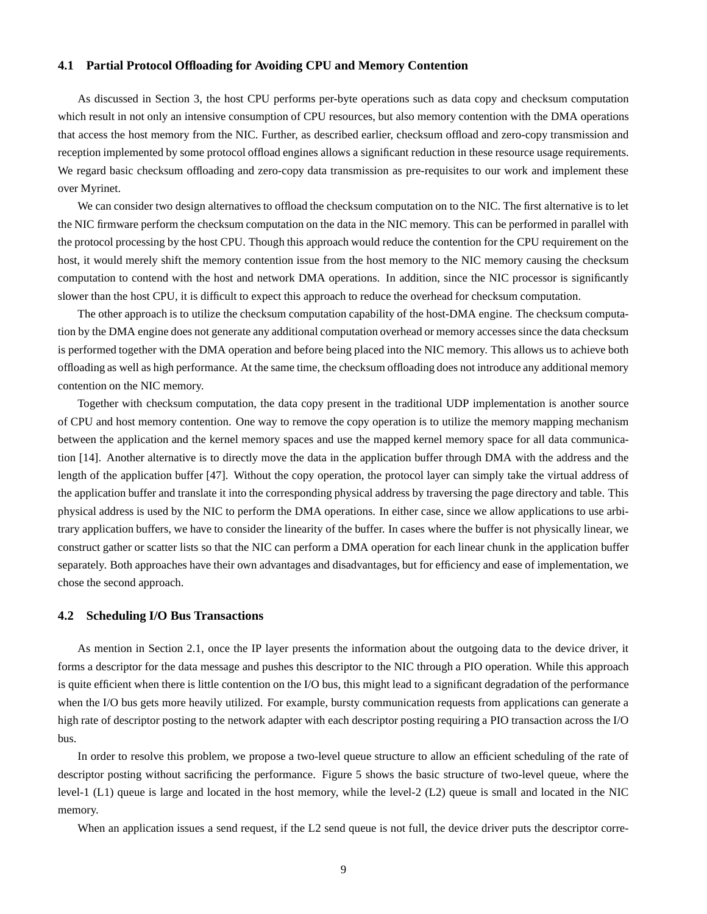## **4.1 Partial Protocol Offloading for Avoiding CPU and Memory Contention**

As discussed in Section 3, the host CPU performs per-byte operations such as data copy and checksum computation which result in not only an intensive consumption of CPU resources, but also memory contention with the DMA operations that access the host memory from the NIC. Further, as described earlier, checksum offload and zero-copy transmission and reception implemented by some protocol offload engines allows a significant reduction in these resource usage requirements. We regard basic checksum offloading and zero-copy data transmission as pre-requisites to our work and implement these over Myrinet.

We can consider two design alternatives to offload the checksum computation on to the NIC. The first alternative is to let the NIC firmware perform the checksum computation on the data in the NIC memory. This can be performed in parallel with the protocol processing by the host CPU. Though this approach would reduce the contention for the CPU requirement on the host, it would merely shift the memory contention issue from the host memory to the NIC memory causing the checksum computation to contend with the host and network DMA operations. In addition, since the NIC processor is significantly slower than the host CPU, it is difficult to expect this approach to reduce the overhead for checksum computation.

The other approach is to utilize the checksum computation capability of the host-DMA engine. The checksum computation by the DMA engine does not generate any additional computation overhead or memory accesses since the data checksum is performed together with the DMA operation and before being placed into the NIC memory. This allows us to achieve both offloading as well as high performance. At the same time, the checksum offloading does not introduce any additional memory contention on the NIC memory.

Together with checksum computation, the data copy present in the traditional UDP implementation is another source of CPU and host memory contention. One way to remove the copy operation is to utilize the memory mapping mechanism between the application and the kernel memory spaces and use the mapped kernel memory space for all data communication [14]. Another alternative is to directly move the data in the application buffer through DMA with the address and the length of the application buffer [47]. Without the copy operation, the protocol layer can simply take the virtual address of the application buffer and translate it into the corresponding physical address by traversing the page directory and table. This physical address is used by the NIC to perform the DMA operations. In either case, since we allow applications to use arbitrary application buffers, we have to consider the linearity of the buffer. In cases where the buffer is not physically linear, we construct gather or scatter lists so that the NIC can perform a DMA operation for each linear chunk in the application buffer separately. Both approaches have their own advantages and disadvantages, but for efficiency and ease of implementation, we chose the second approach.

## **4.2 Scheduling I/O Bus Transactions**

As mention in Section 2.1, once the IP layer presents the information about the outgoing data to the device driver, it forms a descriptor for the data message and pushes this descriptor to the NIC through a PIO operation. While this approach is quite efficient when there is little contention on the I/O bus, this might lead to a significant degradation of the performance when the I/O bus gets more heavily utilized. For example, bursty communication requests from applications can generate a high rate of descriptor posting to the network adapter with each descriptor posting requiring a PIO transaction across the I/O bus.

In order to resolve this problem, we propose a two-level queue structure to allow an efficient scheduling of the rate of descriptor posting without sacrificing the performance. Figure 5 shows the basic structure of two-level queue, where the level-1 (L1) queue is large and located in the host memory, while the level-2 (L2) queue is small and located in the NIC memory.

When an application issues a send request, if the L2 send queue is not full, the device driver puts the descriptor corre-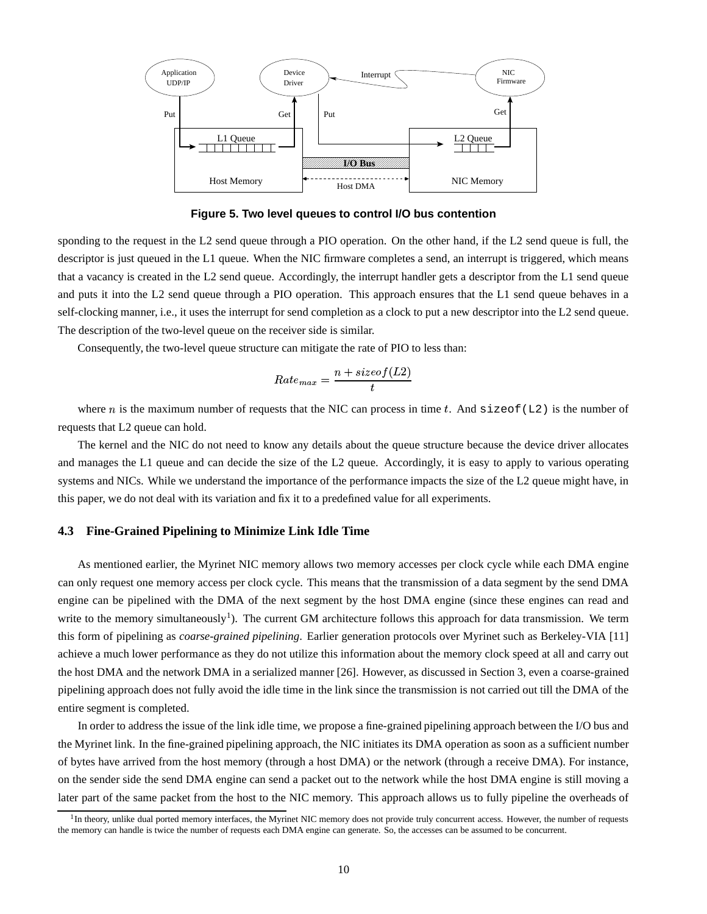

**Figure 5. Two level queues to control I/O bus contention**

sponding to the request in the L2 send queue through a PIO operation. On the other hand, if the L2 send queue is full, the descriptor is just queued in the L1 queue. When the NIC firmware completes a send, an interrupt is triggered, which means that a vacancy is created in the L2 send queue. Accordingly, the interrupt handler gets a descriptor from the L1 send queue and puts it into the L2 send queue through a PIO operation. This approach ensures that the L1 send queue behaves in a self-clocking manner, i.e., it uses the interrupt for send completion as a clock to put a new descriptor into the L2 send queue. The description of the two-level queue on the receiver side is similar.

Consequently, the two-level queue structure can mitigate the rate of PIO to less than:

$$
Rate_{max}=\frac{n+sizeof(L2)}{t}
$$

where *n* is the maximum number of requests that the NIC can process in time t. And  $sizeof(L2)$  is the number of requests that L2 queue can hold.

The kernel and the NIC do not need to know any details about the queue structure because the device driver allocates and manages the L1 queue and can decide the size of the L2 queue. Accordingly, it is easy to apply to various operating systems and NICs. While we understand the importance of the performance impacts the size of the L2 queue might have, in this paper, we do not deal with its variation and fix it to a predefined value for all experiments.

## **4.3 Fine-Grained Pipelining to Minimize Link Idle Time**

As mentioned earlier, the Myrinet NIC memory allows two memory accesses per clock cycle while each DMA engine can only request one memory access per clock cycle. This means that the transmission of a data segment by the send DMA engine can be pipelined with the DMA of the next segment by the host DMA engine (since these engines can read and write to the memory simultaneously<sup>1</sup>). The current GM architecture follows this approach for data transmission. We term this form of pipelining as *coarse-grained pipelining*. Earlier generation protocols over Myrinet such as Berkeley-VIA [11] achieve a much lower performance as they do not utilize this information about the memory clock speed at all and carry out the host DMA and the network DMA in a serialized manner [26]. However, as discussed in Section 3, even a coarse-grained pipelining approach does not fully avoid the idle time in the link since the transmission is not carried out till the DMA of the entire segment is completed.

In order to address the issue of the link idle time, we propose a fine-grained pipelining approach between the I/O bus and the Myrinet link. In the fine-grained pipelining approach, the NIC initiates its DMA operation as soon as a sufficient number of bytes have arrived from the host memory (through a host DMA) or the network (through a receive DMA). For instance, on the sender side the send DMA engine can send a packet out to the network while the host DMA engine is still moving a later part of the same packet from the host to the NIC memory. This approach allows us to fully pipeline the overheads of

<sup>&</sup>lt;sup>1</sup>In theory, unlike dual ported memory interfaces, the Myrinet NIC memory does not provide truly concurrent access. However, the number of requests the memory can handle is twice the number of requests each DMA engine can generate. So, the accesses can be assumed to be concurrent.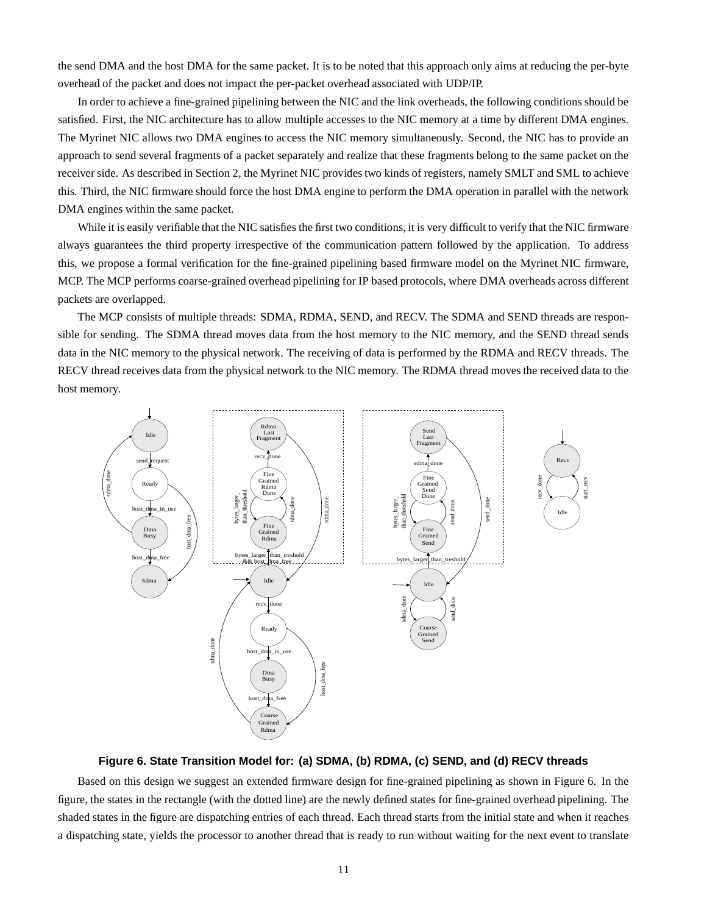the send DMA and the host DMA for the same packet. It is to be noted that this approach only aims at reducing the per-byte overhead of the packet and does not impact the per-packet overhead associated with UDP/IP.

In order to achieve a fine-grained pipelining between the NIC and the link overheads, the following conditions should be satisfied. First, the NIC architecture has to allow multiple accesses to the NIC memory at a time by different DMA engines. The Myrinet NIC allows two DMA engines to access the NIC memory simultaneously. Second, the NIC has to provide an approach to send several fragments of a packet separately and realize that these fragments belong to the same packet on the receiver side. As described in Section 2, the Myrinet NIC provides two kinds of registers, namely SMLT and SML to achieve this. Third, the NIC firmware should force the host DMA engine to perform the DMA operation in parallel with the network DMA engines within the same packet.

While it is easily verifiable that the NIC satisfies the first two conditions, it is very difficult to verify that the NIC firmware always guarantees the third property irrespective of the communication pattern followed by the application. To address this, we propose a formal verification for the fine-grained pipelining based firmware model on the Myrinet NIC firmware, MCP. The MCP performs coarse-grained overhead pipelining for IP based protocols, where DMA overheads across different packets are overlapped.

The MCP consists of multiple threads: SDMA, RDMA, SEND, and RECV. The SDMA and SEND threads are responsible for sending. The SDMA thread moves data from the host memory to the NIC memory, and the SEND thread sends data in the NIC memory to the physical network. The receiving of data is performed by the RDMA and RECV threads. The RECV thread receives data from the physical network to the NIC memory. The RDMA thread moves the received data to the host memory.



#### **Figure 6. State Transition Model for: (a) SDMA, (b) RDMA, (c) SEND, and (d) RECV threads**

Based on this design we suggest an extended firmware design for fine-grained pipelining as shown in Figure 6. In the figure, the states in the rectangle (with the dotted line) are the newly defined states for fine-grained overhead pipelining. The shaded states in the figure are dispatching entries of each thread. Each thread starts from the initial state and when it reaches a dispatching state, yields the processor to another thread that is ready to run without waiting for the next event to translate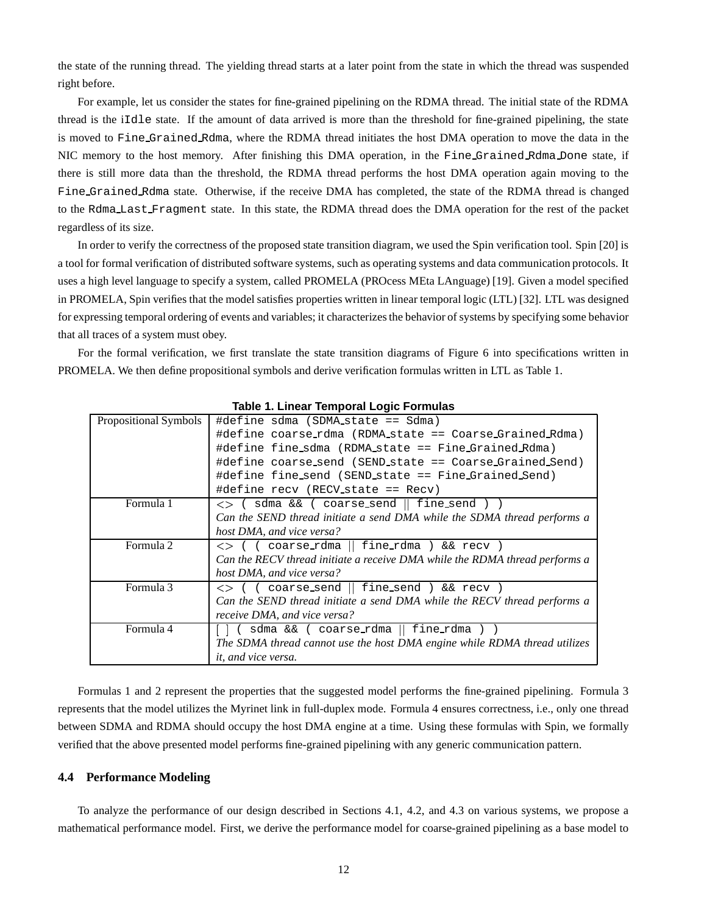the state of the running thread. The yielding thread starts at a later point from the state in which the thread was suspended right before.

For example, let us consider the states for fine-grained pipelining on the RDMA thread. The initial state of the RDMA thread is the iIdle state. If the amount of data arrived is more than the threshold for fine-grained pipelining, the state is moved to Fine Grained Rdma, where the RDMA thread initiates the host DMA operation to move the data in the NIC memory to the host memory. After finishing this DMA operation, in the Fine Grained Rdma Done state, if there is still more data than the threshold, the RDMA thread performs the host DMA operation again moving to the Fine Grained Rdma state. Otherwise, if the receive DMA has completed, the state of the RDMA thread is changed to the Rdma Last Fragment state. In this state, the RDMA thread does the DMA operation for the rest of the packet regardless of its size.

In order to verify the correctness of the proposed state transition diagram, we used the Spin verification tool. Spin [20] is a tool for formal verification of distributed software systems, such as operating systems and data communication protocols. It uses a high level language to specify a system, called PROMELA (PROcess MEta LAnguage) [19]. Given a model specified in PROMELA, Spin verifies that the model satisfies properties written in linear temporal logic (LTL) [32]. LTL was designed for expressing temporal ordering of events and variables; it characterizesthe behavior of systems by specifying some behavior that all traces of a system must obey.

For the formal verification, we first translate the state transition diagrams of Figure 6 into specifications written in PROMELA. We then define propositional symbols and derive verification formulas written in LTL as Table 1.

| Table 1. Empar remporar Eugle I Uniquas |                                                                             |
|-----------------------------------------|-----------------------------------------------------------------------------|
| Propositional Symbols                   | #define sdma (SDMA_state == Sdma)                                           |
|                                         | #define coarse_rdma (RDMA_state == Coarse_Grained_Rdma)                     |
|                                         | #define fine_sdma (RDMA_state == Fine_Grained_Rdma)                         |
|                                         | #define coarse_send (SEND_state == Coarse_Grained_Send)                     |
|                                         | #define fine_send (SEND_state == Fine_Grained_Send)                         |
|                                         | #define recy (RECV_state == Recy)                                           |
| Formula 1                               | $\langle$ > ( sdma && ( coarse_send    fine_send ) )                        |
|                                         | Can the SEND thread initiate a send DMA while the SDMA thread performs a    |
|                                         | host DMA, and vice versa?                                                   |
| Formula 2                               | $\langle$ > ( ( coarse_rdma    fine_rdma ) && recv )                        |
|                                         | Can the RECV thread initiate a receive DMA while the RDMA thread performs a |
|                                         | host DMA, and vice versa?                                                   |
| Formula 3                               | <> ( ( coarse_send    fine_send ) && recv )                                 |
|                                         | Can the SEND thread initiate a send DMA while the RECV thread performs a    |
|                                         | receive DMA, and vice versa?                                                |
| Formula 4                               | sdma && ( coarse_rdma    fine_rdma ) )                                      |
|                                         | The SDMA thread cannot use the host DMA engine while RDMA thread utilizes   |
|                                         | <i>it, and vice versa.</i>                                                  |

**Table 1. Linear Temporal Logic Formulas**

Formulas 1 and 2 represent the properties that the suggested model performs the fine-grained pipelining. Formula 3 represents that the model utilizes the Myrinet link in full-duplex mode. Formula 4 ensures correctness, i.e., only one thread between SDMA and RDMA should occupy the host DMA engine at a time. Using these formulas with Spin, we formally verified that the above presented model performs fine-grained pipelining with any generic communication pattern.

#### **4.4 Performance Modeling**

To analyze the performance of our design described in Sections 4.1, 4.2, and 4.3 on various systems, we propose a mathematical performance model. First, we derive the performance model for coarse-grained pipelining as a base model to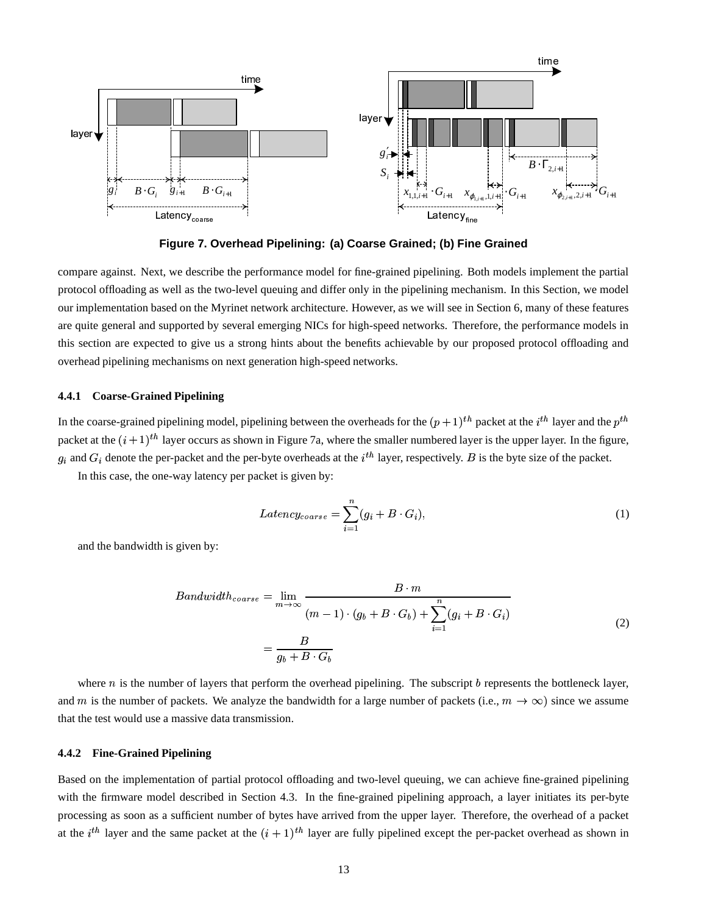

**Figure 7. Overhead Pipelining: (a) Coarse Grained; (b) Fine Grained**

compare against. Next, we describe the performance model for fine-grained pipelining. Both models implement the partial protocol offloading as well as the two-level queuing and differ only in the pipelining mechanism. In this Section, we model our implementation based on the Myrinet network architecture. However, as we will see in Section 6, many of these features are quite general and supported by several emerging NICs for high-speed networks. Therefore, the performance models in this section are expected to give us a strong hints about the benefits achievable by our proposed protocol offloading and overhead pipelining mechanisms on next generation high-speed networks.

#### **4.4.1 Coarse-Grained Pipelining**

In the coarse-grained pipelining model, pipelining between the overheads for the  $(p+1)^{th}$  packet at the  $i^{th}$  layer and the  $p^{th}$ packet at the  $(i + 1)^{th}$  layer occurs as shown in Figure 7a, where the smaller numbered layer is the upper layer. In the figure,  $g_i$  and  $G_i$  denote the per-packet and the per-byte overheads at the  $i<sup>th</sup>$  layer, respectively. B is the byte size of the packet.

In this case, the one-way latency per packet is given by:

$$
Latency_{coarse} = \sum_{i=1}^{n} (g_i + B \cdot G_i),
$$
\n(1)

and the bandwidth is given by:

$$
Bandwidth_{coarse} = \lim_{m \to \infty} \frac{B \cdot m}{(m-1) \cdot (g_b + B \cdot G_b) + \sum_{i=1}^{n} (g_i + B \cdot G_i)}
$$

$$
= \frac{B}{g_b + B \cdot G_b}
$$
(2)

where  $n$  is the number of layers that perform the overhead pipelining. The subscript  $b$  represents the bottleneck layer, and m is the number of packets. We analyze the bandwidth for a large number of packets (i.e.,  $m \to \infty$ ) since we assume that the test would use a massive data transmission.

#### **4.4.2 Fine-Grained Pipelining**

Based on the implementation of partial protocol offloading and two-level queuing, we can achieve fine-grained pipelining with the firmware model described in Section 4.3. In the fine-grained pipelining approach, a layer initiates its per-byte processing as soon as a sufficient number of bytes have arrived from the upper layer. Therefore, the overhead of a packet at the  $i<sup>th</sup>$  layer and the same packet at the  $(i + 1)<sup>th</sup>$  layer are fully pipelined except the per-packet overhead as shown in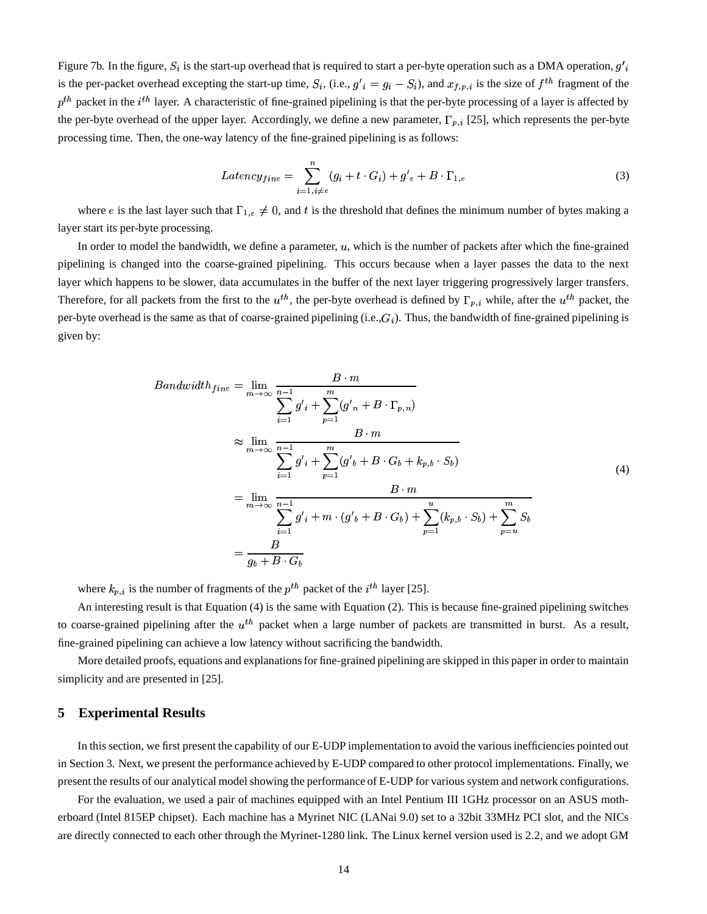Figure 7b. In the figure,  $S_i$  is the start-up overhead that is required to start a per-byte operation such as a DMA operation,  $g'_i$ is the per-packet overhead excepting the start-up time,  $S_i$ , (i.e.,  $g'_i = g_i - S_i$ ), and  $x_{f,p,i}$  is the size of  $f^{th}$  fragment of the  $p^{th}$  packet in the i<sup>th</sup> layer. A characteristic of fine-grained pipelining is that the per-byte processing of a layer is affected by the per-byte overhead of the upper layer. Accordingly, we define a new parameter,  $\Gamma_{p,i}$  [25], which represents the per-byte processing time. Then, the one-way latency of the fine-grained pipelining is as follows:

$$
Latency_{fine} = \sum_{i=1, i \neq e}^{n} (g_i + t \cdot G_i) + g'_{e} + B \cdot \Gamma_{1,e}
$$
\n(3)

where e is the last layer such that  $\Gamma_{1,e} \neq 0$ , and t is the threshold that defines the minimum number of bytes making a layer start its per-byte processing.

In order to model the bandwidth, we define a parameter,  $u$ , which is the number of packets after which the fine-grained pipelining is changed into the coarse-grained pipelining. This occurs because when a layer passes the data to the next layer which happens to be slower, data accumulates in the buffer of the next layer triggering progressively larger transfers. Therefore, for all packets from the first to the  $u^{th}$ , the per-byte overhead is defined by  $\Gamma_{p,i}$  while, after the  $u^{th}$  packet, the per-byte overhead is the same as that of coarse-grained pipelining  $(i.e., G_i)$ . Thus, the bandwidth of fine-grained pipelining is given by:

$$
Bandwidth_{fine} = \lim_{m \to \infty} \frac{B \cdot m}{\sum_{i=1}^{m-1} g'_i + \sum_{p=1}^{m} (g'_n + B \cdot \Gamma_{p,n})}
$$
  
\n
$$
\approx \lim_{m \to \infty} \frac{B \cdot m}{\sum_{i=1}^{m-1} g'_i + \sum_{p=1}^{m} (g'_b + B \cdot G_b + k_{p,b} \cdot S_b)}
$$
  
\n
$$
= \lim_{m \to \infty} \frac{B \cdot m}{\sum_{i=1}^{m-1} g'_i + m \cdot (g'_b + B \cdot G_b) + \sum_{p=1}^{u} (k_{p,b} \cdot S_b) + \sum_{p=u}^{m} S_b}
$$
  
\n
$$
= \frac{B}{g_b + B \cdot G_b}
$$
  
\n(4)

where  $k_{p,i}$  is the number of fragments of the  $p^{th}$  packet of the  $i^{th}$  layer [25].

An interesting result is that Equation (4) is the same with Equation (2). This is because fine-grained pipelining switches to coarse-grained pipelining after the  $u^{th}$  packet when a large number of packets are transmitted in burst. As a result, fine-grained pipelining can achieve a low latency without sacrificing the bandwidth.

More detailed proofs, equations and explanations for fine-grained pipelining are skipped in this paper in order to maintain simplicity and are presented in [25].

# **5 Experimental Results**

In this section, we first present the capability of our E-UDP implementation to avoid the variousinefficiencies pointed out in Section 3. Next, we present the performance achieved by E-UDP compared to other protocol implementations. Finally, we present the results of our analytical model showing the performance of E-UDP for various system and network configurations.

For the evaluation, we used a pair of machines equipped with an Intel Pentium III 1GHz processor on an ASUS motherboard (Intel 815EP chipset). Each machine has a Myrinet NIC (LANai 9.0) set to a 32bit 33MHz PCI slot, and the NICs are directly connected to each other through the Myrinet-1280 link. The Linux kernel version used is 2.2, and we adopt GM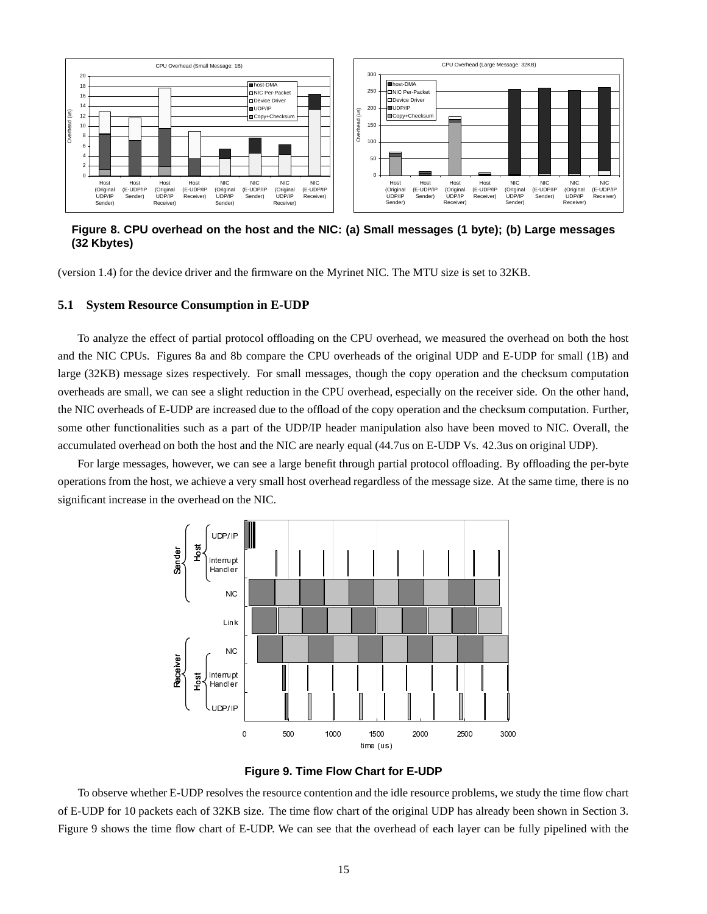

**Figure 8. CPU overhead on the host and the NIC: (a) Small messages (1 byte); (b) Large messages (32 Kbytes)**

(version 1.4) for the device driver and the firmware on the Myrinet NIC. The MTU size is set to 32KB.

#### **5.1 System Resource Consumption in E-UDP**

To analyze the effect of partial protocol offloading on the CPU overhead, we measured the overhead on both the host and the NIC CPUs. Figures 8a and 8b compare the CPU overheads of the original UDP and E-UDP for small (1B) and large (32KB) message sizes respectively. For small messages, though the copy operation and the checksum computation overheads are small, we can see a slight reduction in the CPU overhead, especially on the receiver side. On the other hand, the NIC overheads of E-UDP are increased due to the offload of the copy operation and the checksum computation. Further, some other functionalities such as a part of the UDP/IP header manipulation also have been moved to NIC. Overall, the accumulated overhead on both the host and the NIC are nearly equal (44.7us on E-UDP Vs. 42.3us on original UDP).

For large messages, however, we can see a large benefit through partial protocol offloading. By offloading the per-byte operations from the host, we achieve a very small host overhead regardless of the message size. At the same time, there is no significant increase in the overhead on the NIC.





To observe whether E-UDP resolves the resource contention and the idle resource problems, we study the time flow chart of E-UDP for 10 packets each of 32KB size. The time flow chart of the original UDP has already been shown in Section 3. Figure 9 shows the time flow chart of E-UDP. We can see that the overhead of each layer can be fully pipelined with the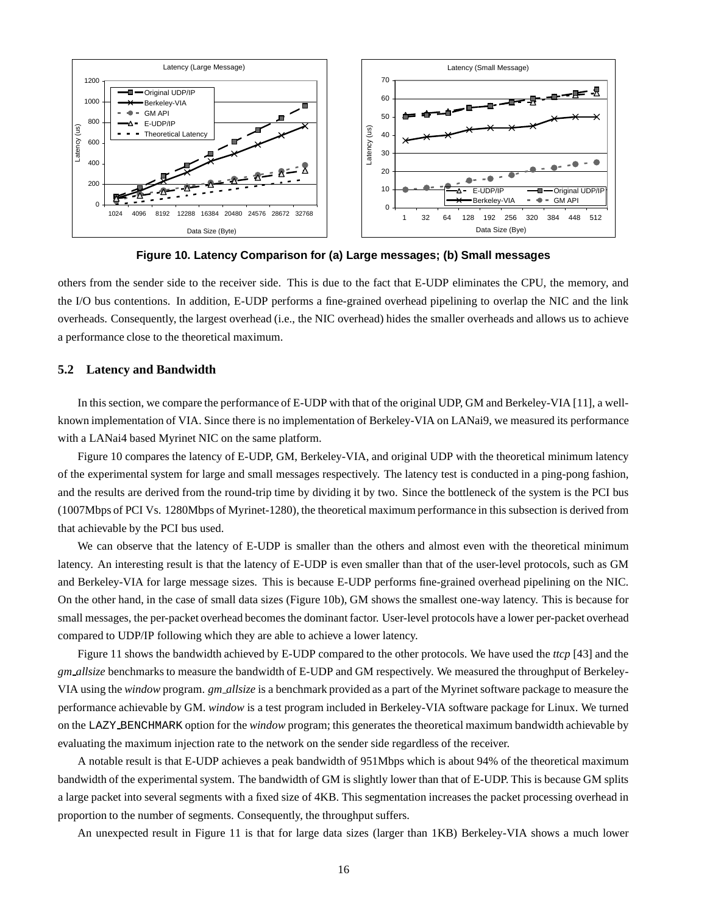

**Figure 10. Latency Comparison for (a) Large messages; (b) Small messages**

others from the sender side to the receiver side. This is due to the fact that E-UDP eliminates the CPU, the memory, and the I/O bus contentions. In addition, E-UDP performs a fine-grained overhead pipelining to overlap the NIC and the link overheads. Consequently, the largest overhead (i.e., the NIC overhead) hides the smaller overheads and allows us to achieve a performance close to the theoretical maximum.

#### **5.2 Latency and Bandwidth**

In this section, we compare the performance of E-UDP with that of the original UDP, GM and Berkeley-VIA [11], a wellknown implementation of VIA. Since there is no implementation of Berkeley-VIA on LANai9, we measured its performance with a LANai4 based Myrinet NIC on the same platform.

Figure 10 compares the latency of E-UDP, GM, Berkeley-VIA, and original UDP with the theoretical minimum latency of the experimental system for large and small messages respectively. The latency test is conducted in a ping-pong fashion, and the results are derived from the round-trip time by dividing it by two. Since the bottleneck of the system is the PCI bus (1007Mbps of PCI Vs. 1280Mbps of Myrinet-1280), the theoretical maximum performance in this subsection is derived from that achievable by the PCI bus used.

We can observe that the latency of E-UDP is smaller than the others and almost even with the theoretical minimum latency. An interesting result is that the latency of E-UDP is even smaller than that of the user-level protocols, such as GM and Berkeley-VIA for large message sizes. This is because E-UDP performs fine-grained overhead pipelining on the NIC. On the other hand, in the case of small data sizes (Figure 10b), GM shows the smallest one-way latency. This is because for small messages, the per-packet overhead becomes the dominant factor. User-level protocols have a lower per-packet overhead compared to UDP/IP following which they are able to achieve a lower latency.

Figure 11 shows the bandwidth achieved by E-UDP compared to the other protocols. We have used the *ttcp* [43] and the *gm allsize* benchmarks to measure the bandwidth of E-UDP and GM respectively. We measured the throughput of Berkeley-VIA using the *window* program. *gm allsize* is a benchmark provided as a part of the Myrinet software package to measure the performance achievable by GM. *window* is a test program included in Berkeley-VIA software package for Linux. We turned on the LAZY BENCHMARK option for the *window* program; this generates the theoretical maximum bandwidth achievable by evaluating the maximum injection rate to the network on the sender side regardless of the receiver.

A notable result is that E-UDP achieves a peak bandwidth of 951Mbps which is about 94% of the theoretical maximum bandwidth of the experimental system. The bandwidth of GM is slightly lower than that of E-UDP. This is because GM splits a large packet into several segments with a fixed size of 4KB. This segmentation increases the packet processing overhead in proportion to the number of segments. Consequently, the throughput suffers.

An unexpected result in Figure 11 is that for large data sizes (larger than 1KB) Berkeley-VIA shows a much lower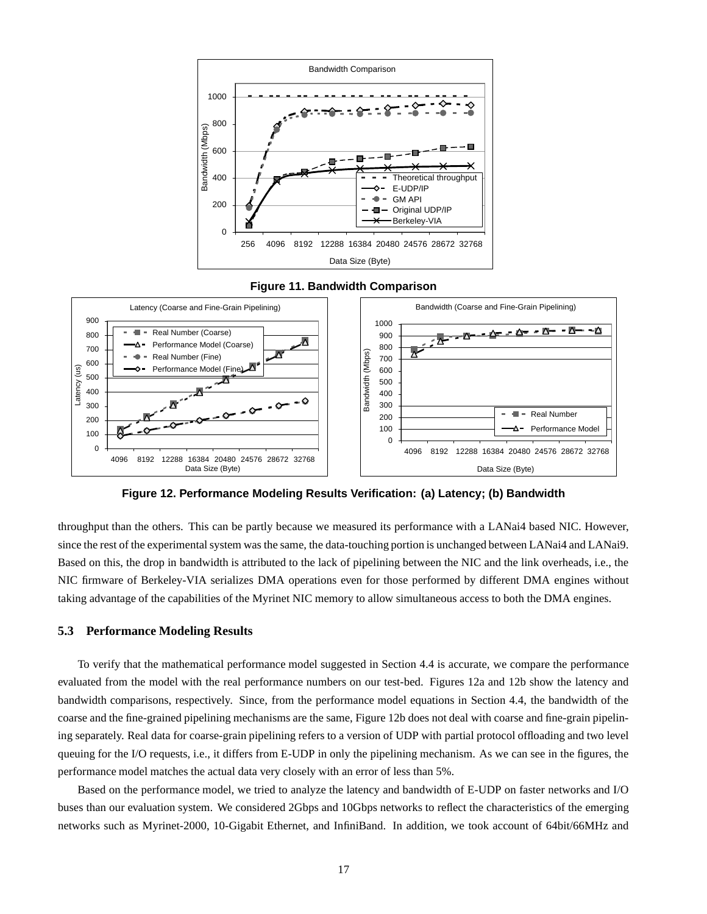

**Figure 12. Performance Modeling Results Verification: (a) Latency; (b) Bandwidth**

throughput than the others. This can be partly because we measured its performance with a LANai4 based NIC. However, since the rest of the experimental system was the same, the data-touching portion is unchanged between LANai4 and LANai9. Based on this, the drop in bandwidth is attributed to the lack of pipelining between the NIC and the link overheads, i.e., the NIC firmware of Berkeley-VIA serializes DMA operations even for those performed by different DMA engines without taking advantage of the capabilities of the Myrinet NIC memory to allow simultaneous access to both the DMA engines.

### **5.3 Performance Modeling Results**

To verify that the mathematical performance model suggested in Section 4.4 is accurate, we compare the performance evaluated from the model with the real performance numbers on our test-bed. Figures 12a and 12b show the latency and bandwidth comparisons, respectively. Since, from the performance model equations in Section 4.4, the bandwidth of the coarse and the fine-grained pipelining mechanisms are the same, Figure 12b does not deal with coarse and fine-grain pipelining separately. Real data for coarse-grain pipelining refers to a version of UDP with partial protocol offloading and two level queuing for the I/O requests, i.e., it differs from E-UDP in only the pipelining mechanism. As we can see in the figures, the performance model matches the actual data very closely with an error of less than 5%.

Based on the performance model, we tried to analyze the latency and bandwidth of E-UDP on faster networks and I/O buses than our evaluation system. We considered 2Gbps and 10Gbps networks to reflect the characteristics of the emerging networks such as Myrinet-2000, 10-Gigabit Ethernet, and InfiniBand. In addition, we took account of 64bit/66MHz and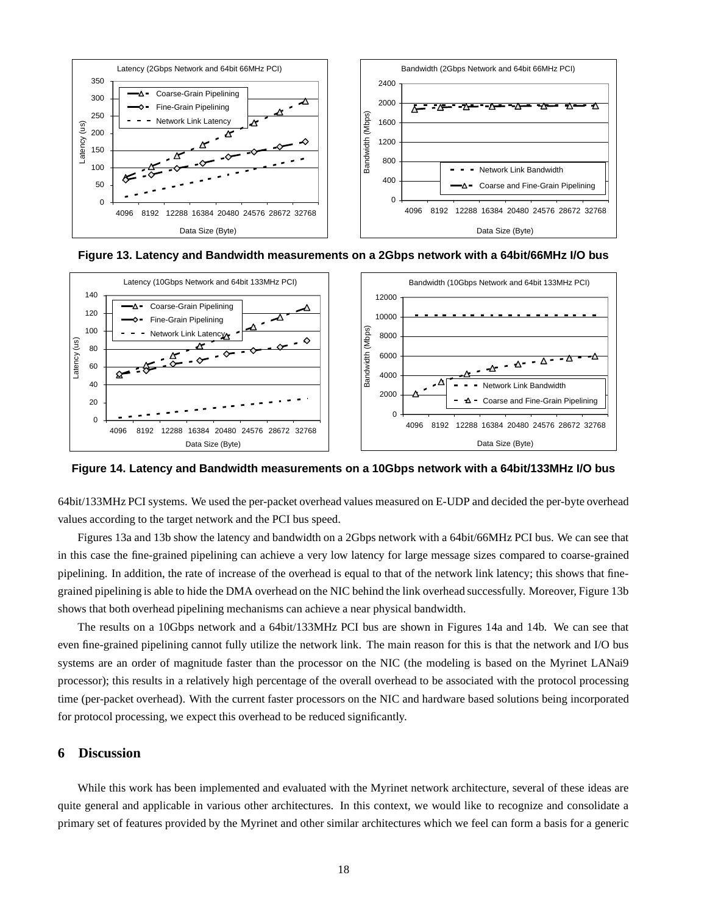





**Figure 14. Latency and Bandwidth measurements on a 10Gbps network with a 64bit/133MHz I/O bus**

64bit/133MHz PCI systems. We used the per-packet overhead values measured on E-UDP and decided the per-byte overhead values according to the target network and the PCI bus speed.

Figures 13a and 13b show the latency and bandwidth on a 2Gbps network with a 64bit/66MHz PCI bus. We can see that in this case the fine-grained pipelining can achieve a very low latency for large message sizes compared to coarse-grained pipelining. In addition, the rate of increase of the overhead is equal to that of the network link latency; this shows that finegrained pipelining is able to hide the DMA overhead on the NIC behind the link overhead successfully. Moreover, Figure 13b shows that both overhead pipelining mechanisms can achieve a near physical bandwidth.

The results on a 10Gbps network and a 64bit/133MHz PCI bus are shown in Figures 14a and 14b. We can see that even fine-grained pipelining cannot fully utilize the network link. The main reason for this is that the network and I/O bus systems are an order of magnitude faster than the processor on the NIC (the modeling is based on the Myrinet LANai9 processor); this results in a relatively high percentage of the overall overhead to be associated with the protocol processing time (per-packet overhead). With the current faster processors on the NIC and hardware based solutions being incorporated for protocol processing, we expect this overhead to be reduced significantly.

## **6 Discussion**

While this work has been implemented and evaluated with the Myrinet network architecture, several of these ideas are quite general and applicable in various other architectures. In this context, we would like to recognize and consolidate a primary set of features provided by the Myrinet and other similar architectures which we feel can form a basis for a generic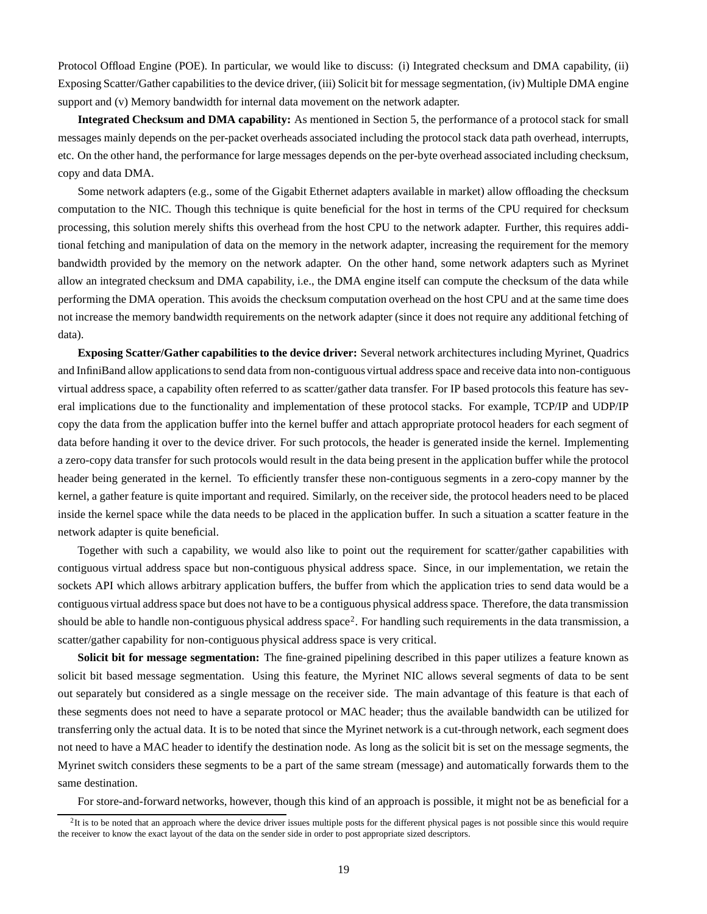Protocol Offload Engine (POE). In particular, we would like to discuss: (i) Integrated checksum and DMA capability, (ii) Exposing Scatter/Gather capabilities to the device driver, (iii) Solicit bit for message segmentation, (iv) Multiple DMA engine support and (v) Memory bandwidth for internal data movement on the network adapter.

**Integrated Checksum and DMA capability:** As mentioned in Section 5, the performance of a protocol stack for small messages mainly depends on the per-packet overheads associated including the protocol stack data path overhead, interrupts, etc. On the other hand, the performance for large messages depends on the per-byte overhead associated including checksum, copy and data DMA.

Some network adapters (e.g., some of the Gigabit Ethernet adapters available in market) allow offloading the checksum computation to the NIC. Though this technique is quite beneficial for the host in terms of the CPU required for checksum processing, this solution merely shifts this overhead from the host CPU to the network adapter. Further, this requires additional fetching and manipulation of data on the memory in the network adapter, increasing the requirement for the memory bandwidth provided by the memory on the network adapter. On the other hand, some network adapters such as Myrinet allow an integrated checksum and DMA capability, i.e., the DMA engine itself can compute the checksum of the data while performing the DMA operation. This avoids the checksum computation overhead on the host CPU and at the same time does not increase the memory bandwidth requirements on the network adapter (since it does not require any additional fetching of data).

**Exposing Scatter/Gather capabilities to the device driver:** Several network architectures including Myrinet, Quadrics and InfiniBand allow applicationsto send data from non-contiguous virtual addressspace and receive data into non-contiguous virtual address space, a capability often referred to as scatter/gather data transfer. For IP based protocols this feature has several implications due to the functionality and implementation of these protocol stacks. For example, TCP/IP and UDP/IP copy the data from the application buffer into the kernel buffer and attach appropriate protocol headers for each segment of data before handing it over to the device driver. For such protocols, the header is generated inside the kernel. Implementing a zero-copy data transfer for such protocols would result in the data being present in the application buffer while the protocol header being generated in the kernel. To efficiently transfer these non-contiguous segments in a zero-copy manner by the kernel, a gather feature is quite important and required. Similarly, on the receiver side, the protocol headers need to be placed inside the kernel space while the data needs to be placed in the application buffer. In such a situation a scatter feature in the network adapter is quite beneficial.

Together with such a capability, we would also like to point out the requirement for scatter/gather capabilities with contiguous virtual address space but non-contiguous physical address space. Since, in our implementation, we retain the sockets API which allows arbitrary application buffers, the buffer from which the application tries to send data would be a contiguous virtual address space but does not have to be a contiguous physical address space. Therefore, the data transmission should be able to handle non-contiguous physical address space<sup>2</sup>. For handling such requirements in the data transmission, a scatter/gather capability for non-contiguous physical address space is very critical.

**Solicit bit for message segmentation:** The fine-grained pipelining described in this paper utilizes a feature known as solicit bit based message segmentation. Using this feature, the Myrinet NIC allows several segments of data to be sent out separately but considered as a single message on the receiver side. The main advantage of this feature is that each of these segments does not need to have a separate protocol or MAC header; thus the available bandwidth can be utilized for transferring only the actual data. It is to be noted that since the Myrinet network is a cut-through network, each segment does not need to have a MAC header to identify the destination node. As long as the solicit bit is set on the message segments, the Myrinet switch considers these segments to be a part of the same stream (message) and automatically forwards them to the same destination.

For store-and-forward networks, however, though this kind of an approach is possible, it might not be as beneficial for a

 ${}^{2}$ It is to be noted that an approach where the device driver issues multiple posts for the different physical pages is not possible since this would require the receiver to know the exact layout of the data on the sender side in order to post appropriate sized descriptors.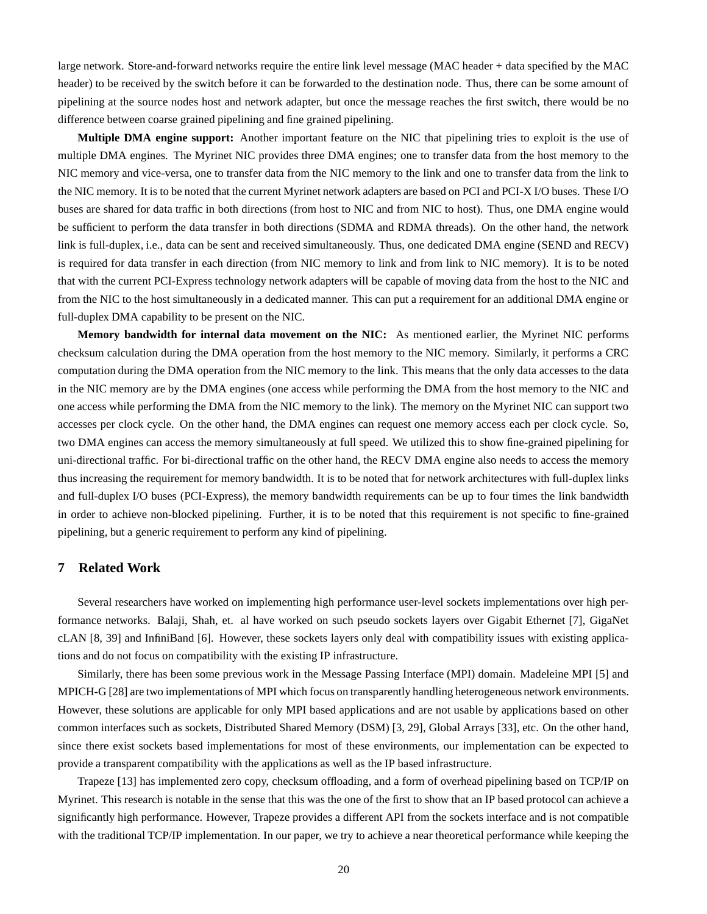large network. Store-and-forward networks require the entire link level message (MAC header + data specified by the MAC header) to be received by the switch before it can be forwarded to the destination node. Thus, there can be some amount of pipelining at the source nodes host and network adapter, but once the message reaches the first switch, there would be no difference between coarse grained pipelining and fine grained pipelining.

**Multiple DMA engine support:** Another important feature on the NIC that pipelining tries to exploit is the use of multiple DMA engines. The Myrinet NIC provides three DMA engines; one to transfer data from the host memory to the NIC memory and vice-versa, one to transfer data from the NIC memory to the link and one to transfer data from the link to the NIC memory. It is to be noted that the current Myrinet network adapters are based on PCI and PCI-X I/O buses. These I/O buses are shared for data traffic in both directions (from host to NIC and from NIC to host). Thus, one DMA engine would be sufficient to perform the data transfer in both directions (SDMA and RDMA threads). On the other hand, the network link is full-duplex, i.e., data can be sent and received simultaneously. Thus, one dedicated DMA engine (SEND and RECV) is required for data transfer in each direction (from NIC memory to link and from link to NIC memory). It is to be noted that with the current PCI-Express technology network adapters will be capable of moving data from the host to the NIC and from the NIC to the host simultaneously in a dedicated manner. This can put a requirement for an additional DMA engine or full-duplex DMA capability to be present on the NIC.

**Memory bandwidth for internal data movement on the NIC:** As mentioned earlier, the Myrinet NIC performs checksum calculation during the DMA operation from the host memory to the NIC memory. Similarly, it performs a CRC computation during the DMA operation from the NIC memory to the link. This means that the only data accesses to the data in the NIC memory are by the DMA engines (one access while performing the DMA from the host memory to the NIC and one access while performing the DMA from the NIC memory to the link). The memory on the Myrinet NIC can support two accesses per clock cycle. On the other hand, the DMA engines can request one memory access each per clock cycle. So, two DMA engines can access the memory simultaneously at full speed. We utilized this to show fine-grained pipelining for uni-directional traffic. For bi-directional traffic on the other hand, the RECV DMA engine also needs to access the memory thus increasing the requirement for memory bandwidth. It is to be noted that for network architectures with full-duplex links and full-duplex I/O buses (PCI-Express), the memory bandwidth requirements can be up to four times the link bandwidth in order to achieve non-blocked pipelining. Further, it is to be noted that this requirement is not specific to fine-grained pipelining, but a generic requirement to perform any kind of pipelining.

# **7 Related Work**

Several researchers have worked on implementing high performance user-level sockets implementations over high performance networks. Balaji, Shah, et. al have worked on such pseudo sockets layers over Gigabit Ethernet [7], GigaNet cLAN [8, 39] and InfiniBand [6]. However, these sockets layers only deal with compatibility issues with existing applications and do not focus on compatibility with the existing IP infrastructure.

Similarly, there has been some previous work in the Message Passing Interface (MPI) domain. Madeleine MPI [5] and MPICH-G [28] are two implementations of MPI which focus on transparently handling heterogeneous network environments. However, these solutions are applicable for only MPI based applications and are not usable by applications based on other common interfaces such as sockets, Distributed Shared Memory (DSM) [3, 29], Global Arrays [33], etc. On the other hand, since there exist sockets based implementations for most of these environments, our implementation can be expected to provide a transparent compatibility with the applications as well as the IP based infrastructure.

Trapeze [13] has implemented zero copy, checksum offloading, and a form of overhead pipelining based on TCP/IP on Myrinet. This research is notable in the sense that this was the one of the first to show that an IP based protocol can achieve a significantly high performance. However, Trapeze provides a different API from the sockets interface and is not compatible with the traditional TCP/IP implementation. In our paper, we try to achieve a near theoretical performance while keeping the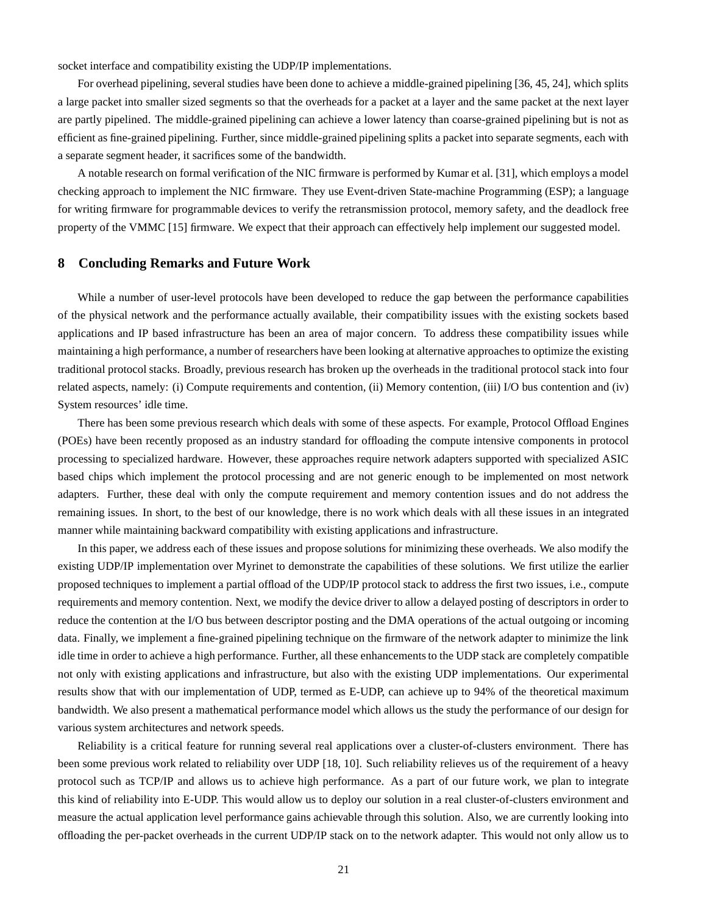socket interface and compatibility existing the UDP/IP implementations.

For overhead pipelining, several studies have been done to achieve a middle-grained pipelining [36, 45, 24], which splits a large packet into smaller sized segments so that the overheads for a packet at a layer and the same packet at the next layer are partly pipelined. The middle-grained pipelining can achieve a lower latency than coarse-grained pipelining but is not as efficient as fine-grained pipelining. Further, since middle-grained pipelining splits a packet into separate segments, each with a separate segment header, it sacrifices some of the bandwidth.

A notable research on formal verification of the NIC firmware is performed by Kumar et al. [31], which employs a model checking approach to implement the NIC firmware. They use Event-driven State-machine Programming (ESP); a language for writing firmware for programmable devices to verify the retransmission protocol, memory safety, and the deadlock free property of the VMMC [15] firmware. We expect that their approach can effectively help implement our suggested model.

## **8 Concluding Remarks and Future Work**

While a number of user-level protocols have been developed to reduce the gap between the performance capabilities of the physical network and the performance actually available, their compatibility issues with the existing sockets based applications and IP based infrastructure has been an area of major concern. To address these compatibility issues while maintaining a high performance, a number of researchers have been looking at alternative approachesto optimize the existing traditional protocol stacks. Broadly, previous research has broken up the overheads in the traditional protocol stack into four related aspects, namely: (i) Compute requirements and contention, (ii) Memory contention, (iii) I/O bus contention and (iv) System resources' idle time.

There has been some previous research which deals with some of these aspects. For example, Protocol Offload Engines (POEs) have been recently proposed as an industry standard for offloading the compute intensive components in protocol processing to specialized hardware. However, these approaches require network adapters supported with specialized ASIC based chips which implement the protocol processing and are not generic enough to be implemented on most network adapters. Further, these deal with only the compute requirement and memory contention issues and do not address the remaining issues. In short, to the best of our knowledge, there is no work which deals with all these issues in an integrated manner while maintaining backward compatibility with existing applications and infrastructure.

In this paper, we address each of these issues and propose solutions for minimizing these overheads. We also modify the existing UDP/IP implementation over Myrinet to demonstrate the capabilities of these solutions. We first utilize the earlier proposed techniques to implement a partial offload of the UDP/IP protocol stack to address the first two issues, i.e., compute requirements and memory contention. Next, we modify the device driver to allow a delayed posting of descriptors in order to reduce the contention at the I/O bus between descriptor posting and the DMA operations of the actual outgoing or incoming data. Finally, we implement a fine-grained pipelining technique on the firmware of the network adapter to minimize the link idle time in order to achieve a high performance. Further, all these enhancementsto the UDP stack are completely compatible not only with existing applications and infrastructure, but also with the existing UDP implementations. Our experimental results show that with our implementation of UDP, termed as E-UDP, can achieve up to 94% of the theoretical maximum bandwidth. We also present a mathematical performance model which allows us the study the performance of our design for various system architectures and network speeds.

Reliability is a critical feature for running several real applications over a cluster-of-clusters environment. There has been some previous work related to reliability over UDP [18, 10]. Such reliability relieves us of the requirement of a heavy protocol such as TCP/IP and allows us to achieve high performance. As a part of our future work, we plan to integrate this kind of reliability into E-UDP. This would allow us to deploy our solution in a real cluster-of-clusters environment and measure the actual application level performance gains achievable through this solution. Also, we are currently looking into offloading the per-packet overheads in the current UDP/IP stack on to the network adapter. This would not only allow us to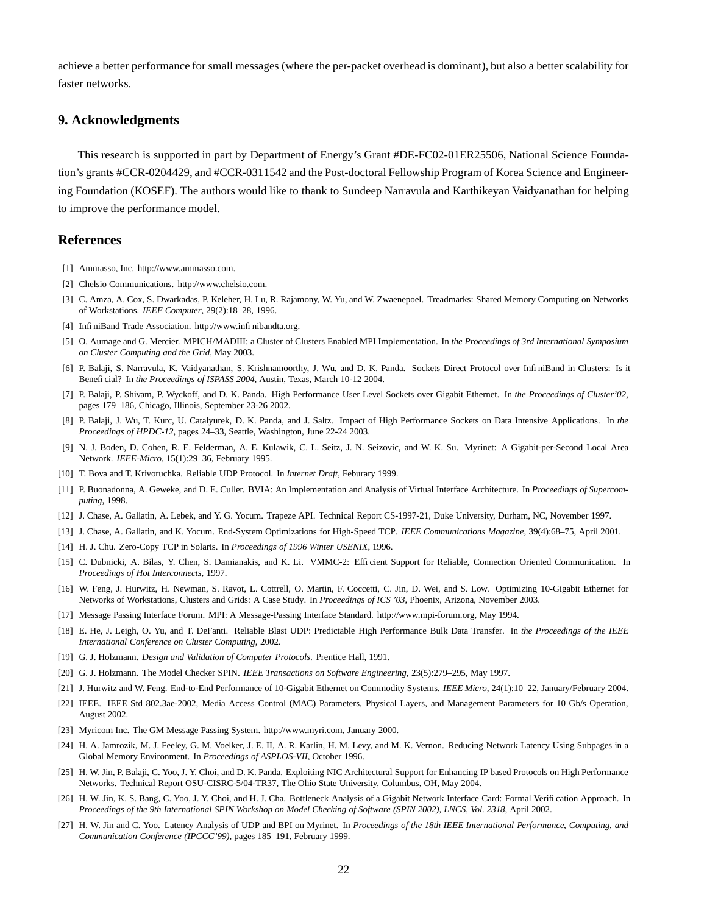achieve a better performance for small messages (where the per-packet overhead is dominant), but also a better scalability for faster networks.

# **9. Acknowledgments**

This research is supported in part by Department of Energy's Grant #DE-FC02-01ER25506, National Science Foundation's grants #CCR-0204429, and #CCR-0311542 and the Post-doctoral Fellowship Program of Korea Science and Engineering Foundation (KOSEF). The authors would like to thank to Sundeep Narravula and Karthikeyan Vaidyanathan for helping to improve the performance model.

## **References**

- [1] Ammasso, Inc. http://www.ammasso.com.
- [2] Chelsio Communications. http://www.chelsio.com.
- [3] C. Amza, A. Cox, S. Dwarkadas, P. Keleher, H. Lu, R. Rajamony, W. Yu, and W. Zwaenepoel. Treadmarks: Shared Memory Computing on Networks of Workstations. *IEEE Computer*, 29(2):18–28, 1996.
- [4] Infi niBand Trade Association. http://www.infi nibandta.org.
- [5] O. Aumage and G. Mercier. MPICH/MADIII: a Cluster of Clusters Enabled MPI Implementation. In *the Proceedings of 3rd International Symposium on Cluster Computing and the Grid*, May 2003.
- [6] P. Balaji, S. Narravula, K. Vaidyanathan, S. Krishnamoorthy, J. Wu, and D. K. Panda. Sockets Direct Protocol over InfiniBand in Clusters: Is it Beneficial? In *the Proceedings of ISPASS 2004*, Austin, Texas, March 10-12 2004.
- [7] P. Balaji, P. Shivam, P. Wyckoff, and D. K. Panda. High Performance User Level Sockets over Gigabit Ethernet. In *the Proceedings of Cluster'02*, pages 179–186, Chicago, Illinois, September 23-26 2002.
- [8] P. Balaji, J. Wu, T. Kurc, U. Catalyurek, D. K. Panda, and J. Saltz. Impact of High Performance Sockets on Data Intensive Applications. In *the Proceedings of HPDC-12*, pages 24–33, Seattle, Washington, June 22-24 2003.
- [9] N. J. Boden, D. Cohen, R. E. Felderman, A. E. Kulawik, C. L. Seitz, J. N. Seizovic, and W. K. Su. Myrinet: A Gigabit-per-Second Local Area Network. *IEEE-Micro*, 15(1):29–36, February 1995.
- [10] T. Bova and T. Krivoruchka. Reliable UDP Protocol. In *Internet Draft*, Feburary 1999.
- [11] P. Buonadonna, A. Geweke, and D. E. Culler. BVIA: An Implementation and Analysis of Virtual Interface Architecture. In *Proceedings of Supercomputing*, 1998.
- [12] J. Chase, A. Gallatin, A. Lebek, and Y. G. Yocum. Trapeze API. Technical Report CS-1997-21, Duke University, Durham, NC, November 1997.
- [13] J. Chase, A. Gallatin, and K. Yocum. End-System Optimizations for High-Speed TCP. *IEEE Communications Magazine*, 39(4):68–75, April 2001.
- [14] H. J. Chu. Zero-Copy TCP in Solaris. In *Proceedings of 1996 Winter USENIX*, 1996.
- [15] C. Dubnicki, A. Bilas, Y. Chen, S. Damianakis, and K. Li. VMMC-2: Efficient Support for Reliable, Connection Oriented Communication. In *Proceedings of Hot Interconnects*, 1997.
- [16] W. Feng, J. Hurwitz, H. Newman, S. Ravot, L. Cottrell, O. Martin, F. Coccetti, C. Jin, D. Wei, and S. Low. Optimizing 10-Gigabit Ethernet for Networks of Workstations, Clusters and Grids: A Case Study. In *Proceedings of ICS '03*, Phoenix, Arizona, November 2003.
- [17] Message Passing Interface Forum. MPI: A Message-Passing Interface Standard. http://www.mpi-forum.org, May 1994.
- [18] E. He, J. Leigh, O. Yu, and T. DeFanti. Reliable Blast UDP: Predictable High Performance Bulk Data Transfer. In *the Proceedings of the IEEE International Conference on Cluster Computing*, 2002.
- [19] G. J. Holzmann. *Design and Validation of Computer Protocols*. Prentice Hall, 1991.
- [20] G. J. Holzmann. The Model Checker SPIN. *IEEE Transactions on Software Engineering*, 23(5):279–295, May 1997.
- [21] J. Hurwitz and W. Feng. End-to-End Performance of 10-Gigabit Ethernet on Commodity Systems. *IEEE Micro*, 24(1):10–22, January/February 2004.
- [22] IEEE. IEEE Std 802.3ae-2002, Media Access Control (MAC) Parameters, Physical Layers, and Management Parameters for 10 Gb/s Operation, August 2002.
- [23] Myricom Inc. The GM Message Passing System. http://www.myri.com, January 2000.
- [24] H. A. Jamrozik, M. J. Feeley, G. M. Voelker, J. E. II, A. R. Karlin, H. M. Levy, and M. K. Vernon. Reducing Network Latency Using Subpages in a Global Memory Environment. In *Proceedings of ASPLOS-VII*, October 1996.
- [25] H. W. Jin, P. Balaji, C. Yoo, J. Y. Choi, and D. K. Panda. Exploiting NIC Architectural Support for Enhancing IP based Protocols on High Performance Networks. Technical Report OSU-CISRC-5/04-TR37, The Ohio State University, Columbus, OH, May 2004.
- [26] H. W. Jin, K. S. Bang, C. Yoo, J. Y. Choi, and H. J. Cha. Bottleneck Analysis of a Gigabit Network Interface Card: Formal Verification Approach. In Proceedings of the 9th International SPIN Workshop on Model Checking of Software (SPIN 2002), LNCS, Vol. 2318, April 2002.
- [27] H. W. Jin and C. Yoo. Latency Analysis of UDP and BPI on Myrinet. In *Proceedings of the 18th IEEE International Performance, Computing, and Communication Conference (IPCCC'99)*, pages 185–191, February 1999.